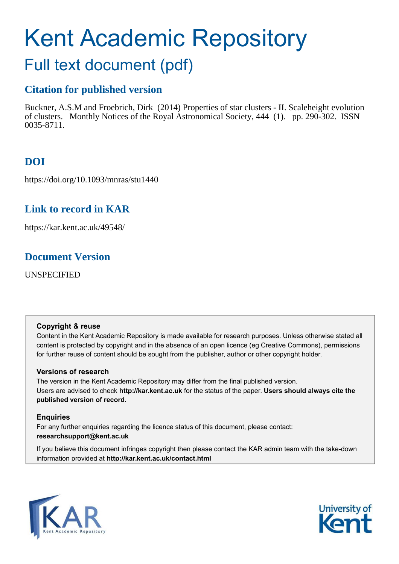# Kent Academic Repository

# Full text document (pdf)

# **Citation for published version**

Buckner, A.S.M and Froebrich, Dirk (2014) Properties of star clusters - II. Scaleheight evolution of clusters. Monthly Notices of the Royal Astronomical Society, 444 (1). pp. 290-302. ISSN 0035-8711.

# **DOI**

https://doi.org/10.1093/mnras/stu1440

# **Link to record in KAR**

https://kar.kent.ac.uk/49548/

# **Document Version**

UNSPECIFIED

## **Copyright & reuse**

Content in the Kent Academic Repository is made available for research purposes. Unless otherwise stated all content is protected by copyright and in the absence of an open licence (eg Creative Commons), permissions for further reuse of content should be sought from the publisher, author or other copyright holder.

## **Versions of research**

The version in the Kent Academic Repository may differ from the final published version. Users are advised to check **http://kar.kent.ac.uk** for the status of the paper. **Users should always cite the published version of record.**

## **Enquiries**

For any further enquiries regarding the licence status of this document, please contact: **researchsupport@kent.ac.uk**

If you believe this document infringes copyright then please contact the KAR admin team with the take-down information provided at **http://kar.kent.ac.uk/contact.html**



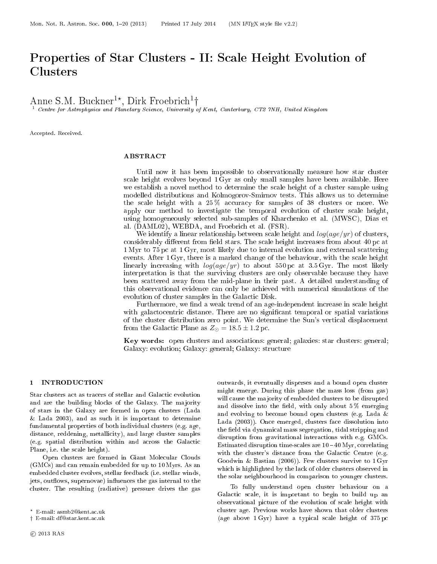# Properties of Star Clusters - II: S
ale Height Evolution of

Anne S.M. Buckner<sup>1\*</sup>, Dirk Froebrich<sup>1</sup>†

<sup>1</sup> Centre for Astrophysics and Planetary Science, University of Kent, Canterbury, CT2 7NH, United Kingdom

Accepted. Received.

#### ABSTRACT

Until now it has been impossible to observationally measure how star cluster s
ale height evolves beyond 1 Gyr as only small samples have been available. Here we establish a novel method to determine the scale height of a cluster sample using modelled distributions and Kolmogorov-Smirnov tests. This allows us to determine the scale height with a 25% accuracy for samples of 38 clusters or more. We apply our method to investigate the temporal evolution of cluster scale height, using homogeneously sele
ted sub-samples of Khar
henko et al. (MWSC), Dias et al. (DAML02), WEBDA, and Froebri
h et al. (FSR).

We identify a linear relationship between scale height and  $log(age/yr)$  of clusters, considerably different from field stars. The scale height increases from about 40 pc at 1 Myr to 75 p at 1 Gyr, most likely due to internal evolution and external s
attering events. After 1 Gyr, there is a marked change of the behaviour, with the scale height linearly increasing with  $log(age/yr)$  to about 550 pc at 3.5 Gyr. The most likely interpretation is that the surviving lusters are only observable be
ause they have been s
attered away from the mid-plane in their past. A detailed understanding of this observational eviden
e an only be a
hieved with numeri
al simulations of the evolution of cluster samples in the Galactic Disk.

Furthermore, we find a weak trend of an age-independent increase in scale height with galactocentric distance. There are no significant temporal or spatial variations of the luster distribution zero point. We determine the Sun's verti
al displa
ement from the Galactic Plane as  $Z_{\odot} = 18.5 \pm 1.2$  pc.

Key words: open clusters and associations: general; galaxies: star clusters: general; Galaxy: evolution; Galaxy: general; Galaxy: stru
ture

#### 1 INTRODUCTION

Star clusters act as tracers of stellar and Galactic evolution and are the building blo
ks of the Galaxy. The ma jority of stars in the Galaxy are formed in open lusters (Lada & Lada 2003), and as su
h it is important to determine fundamental properties of both individual lusters (e.g. age, distance, reddening, metallicity), and large cluster samples (e.g. spatial distribution within and across the Galactic Plane, i.e. the s
ale height).

Open clusters are formed in Giant Molecular Clouds (GMCs) and an remain embedded for up to 10 Myrs. As an embedded luster evolves, stellar feedba
k (i.e. stellar winds, jets, outflows, supernovae) influences the gas internal to the cluster. The resulting (radiative) pressure drives the gas

outwards, it eventually disperses and a bound open luster might emerge. During this phase the mass loss (from gas) will cause the majority of embedded clusters to be disrupted and dissolve into the field, with only about  $5\%$  emerging and evolving to be
ome bound open lusters (e.g. Lada & Lada (2003)). Once emerged, clusters face dissolution into the field via dynamical mass segregation, tidal stripping and disruption from gravitational intera
tions with e.g. GMCs. Estimated disruption time-scales are  $10 - 40$  Myr, correlating with the cluster's distance from the Galactic Centre (e.g. Goodwin & Bastian (2006)). Few clusters survive to  $1 \,\mathrm{Gyr}$ which is highlighted by the lack of older clusters observed in the solar neighbourhood in omparison to younger lusters.

To fully understand open luster behaviour on a Galactic scale, it is important to begin to build up an observational picture of the evolution of scale height with cluster age. Previous works have shown that older clusters (age above  $1 \text{ Gyr}$ ) have a typical scale height of 375 pc

<sup>\*</sup> E-mail: asmb2@kent.ac.uk

<sup>†</sup> E-mail: df@star.kent.ac.uk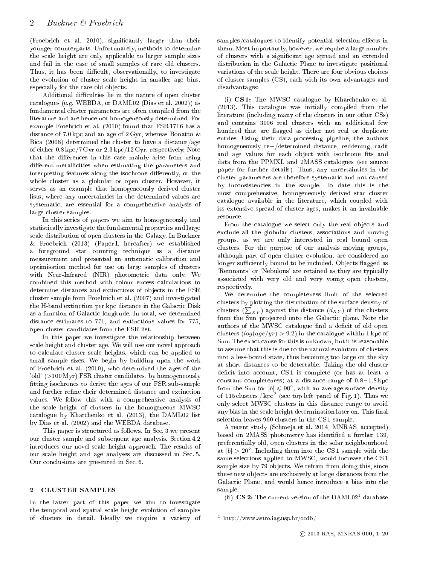(Froebrich et al. 2010), significantly larger than their younger ounterparts. Unfortunately, methods to determine the s
ale height are only appli
able to larger sample sizes and fail in the ase of small samples of rare old lusters. Thus, it has been difficult, observationally, to investigate the evolution of luster s
ale height in smaller age bins, especially for the rare old objects.

Additional difficulties lie in the nature of open cluster atalogues (e.g. WEBDA, or DAML02 (Dias et al. 2002)) as fundamental luster parameters are often ompiled from the literature and are hen
e not homogeneously determined. For example Froebrich et al. (2010) found that FSR 1716 has a distance of 7.0 kpc and an age of 2 Gyr, whereas Bonatto & Bica (2008) determined the cluster to have a distance/age of either 0.8 kp /7 Gyr or 2.3 kp /12 Gyr, respe
tively. Note that the differences in this case mainly arise from using different metallicities when estimating the parameters and interpreting features along the isochrone differently, or the whole cluster as a globular or open cluster. However, it serves as an example that homogeneously derived cluster lists, where any un
ertainties in the determined values are systemati
, are essential for a omprehensive analysis of large luster samples.

In this series of papers we aim to homogeneously and statisti
ally investigate the fundamental properties and large s
ale distribution of open lusters in the Galaxy. In Bu
kner & Froebri
h (2013) (Paper I, hereafter) we established a foreground star counting technique as a distance measurement and presented an automatic calibration and optimisation method for use on large samples of lusters with Near-Infrared (NIR) photometri data only. We combined this method with colour excess calculations to determine distances and extinctions of objects in the FSR luster sample from Froebri
h et al. (2007) and investigated the H-band extin
tion per kp distan
e in the Gala
ti Disk as a function of Galactic longitude. In total, we determined distance estimates to 771, and extinctions values for 775, open luster andidates from the FSR list.

In this paper we investigate the relationship between s
ale height and luster age. We will use our novel approa
h to al
ulate luster s
ale heights, whi
h an be applied to small sample sizes. We begin by building upon the work of Froebri
h et al. (2010), who determined the ages of the 'old' (>100 Myr) FSR cluster candidates, by homogeneously fitting isochrones to derive the ages of our FSR sub-sample and further refine their determined distance and extinction values. We follow this with a omprehensive analysis of the s
ale height of lusters in the homogeneous MWSC atalogue by Khar
henko et al. (2013), the DAML02 list by Dias et al. (2002) and the WEBDA database.

This paper is structured as follows. In Sec. 3 we present our cluster sample and subsequent age analysis. Section 4.2 introdu
es our novel s
ale height approa
h. The results of our scale height and age analyses are discussed in Sec. 5. Our conclusions are presented in Sec. 6.

#### 2 CLUSTER SAMPLES

In the latter part of this paper we aim to investigate the temporal and spatial s
ale height evolution of samples of lusters in detail. Ideally we require a variety of samples/catalogues to identify potential selection effects in them. Most importantly, however, we require a large number of lusters with a signi
ant age spread and an extended distribution in the Galactic Plane to investigate positional variations of the s
ale height. There are four obvious hoi
es of luster samples (CS), ea
h with its own advantages and disadvantages:

(i) CS1: The MWSC catalogue by Kharchenko et al. (2013). This atalogue was initially ompiled from the literature (including many of the clusters in our other CSs) and ontains 3006 real lusters with an additional few hundred that are flagged as either not real or duplicate entries. Using their data-pro
essing pipeline, the authors homogeneously re−/determined distan
e, reddening, radii and age values for each object with isochrone fits and data from the PPMXL and 2MASS atalogues (see sour
e paper for further details). Thus, any un
ertainties in the cluster parameters are therefore systematic and not caused by in
onsisten
ies in the sample. To date this is the most omprehensive, homogeneously derived star luster atalogue available in the literature, whi
h oupled with its extensive spread of luster ages, makes it an invaluable resour
e.

From the catalogue we select only the real objects and ex
lude all the globular lusters, asso
iations and moving groups, as we are only interested in real bound open clusters. For the purpose of our analysis moving groups, although part of open luster evolution, are onsidered no longer sufficiently bound to be included. Objects flagged as 'Remnants' or 'Nebulous' are retained as they are typically asso
iated with very old and very young open lusters, respe
tively.

We determine the completeness limit of the selected clusters by plotting the distribution of the surface density of clusters  $(\sum_{XY})$  against the distance  $(d_{XY})$  of the clusters from the Sun projected onto the Galactic plane. Note the authors of the MWSC catalogue find a deficit of old open clusters  $(log(age/yr) > 9.2)$  in the catalogue within 1 kpc of Sun. The exact cause for this is unknown, but it is reasonable to assume that this is due to the natural evolution of lusters into a less-bound state, thus be
oming too large on the sky at short distan
es to be dete
table. Taking the old luster deficit into account, CS1 is complete (or has at least a constant completeness) at a distance range of  $0.8 - 1.8$  kpc from the Sun for  $|b| \leq 90^{\circ}$ , with an average surface density of 115 clusters /  $kpc<sup>2</sup>$  (see top left panel of Fig. 1). Thus we only sele
t MWSC lusters in this distan
e range to avoid any bias in the scale height determination later on. This final sele
tion leaves 960 lusters in the CS 1 sample.

A recent study (Schmeja et al. 2014, MNRAS, accepted) based on 2MASS photometry has identified a further 139, preferentially old, open lusters in the solar neighbourhood at  $|b| > 20^\circ$ . Including them into the CS 1 sample with the same selections applied to MWSC, would increase the CS 1 sample size by 79 objects. We refrain from doing this, since these new objects are exclusively at large distances from the Gala
ti Plane, and would hen
e introdu
e a bias into the sample.

(ii)  $\text{CS } 2$ : The current version of the DAML02<sup>1</sup> database

<sup>&</sup>lt;sup>1</sup> http://www.astro.iag.usp.br/ocdb/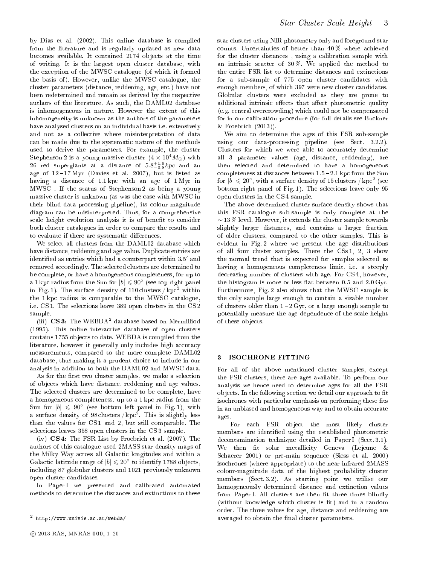by Dias et al. (2002). This online database is ompiled from the literature and is regularly updated as new data becomes available. It contained 2174 objects at the time of writing. It is the largest open luster database, with the ex
eption of the MWSC atalogue (of whi
h it formed the basis of). However, unlike the MWSC catalogue, the luster parameters (distan
e, reddening, age, et
.) have not been redetermined and remain as derived by the respective authors of the literature. As su
h, the DAML02 database is inhomogeneous in nature. However the extent of this inhomogeneity is unknown as the authors of the parameters have analysed lusters on an individual basis i.e. extensively and not as a olle
tive where misinterpretation of data an be made due to the systemati nature of the methods used to derive the parameters. For example, the luster Stephenson 2 is a young massive cluster  $(4 \times 10^4 M_{\odot})$  with 26 red supergiants at a distance of  $5.8^{+1.9}_{-0.8} kpc$  and an age of  $12-17 \text{ Myr}$  (Davies et al. 2007), but is listed as having a distan
e of 1.1 kp with an age of 1 Myr in MWSC . If the status of Stephenson 2 as being a young massive cluster is unknown (as was the case with MWSC in their blind-data-pro
essing pipeline), its olour-magnitude diagram an be misinterpreted. Thus, for a omprehensive scale height evolution analysis it is of benefit to consider both luster atalogues in order to ompare the results and to evaluate if there are systematic differences.

We select all clusters from the DAML02 database which have distance, reddening and age value. Duplicate entries are identified as entries which had a counterpart within 3.5' and removed accordingly. The selected clusters are determined to be omplete, or have a homogeneous ompleteness, for up to a 1 kpc radius from the Sun for  $|b| \leqslant 90^\circ$  (see top-right panel in Fig. 1). The surface density of 110 clusters  $/$  kpc<sup>2</sup> within the 1 kp radius is omparable to the MWSC atalogue, i.e. CS 1. The sele
tions leave 389 open lusters in the CS 2 sample.

(iii)  $CS3$ : The WEBDA<sup>2</sup> database based on Mermilliod (1995). This online intera
tive database of open lusters contains 1755 objects to date. WEBDA is compiled from the literature, however it generally only includes high accuracy measurements, ompared to the more omplete DAML02 database, thus making it a prudent hoi
e to in
lude in our analysis in addition to both the DAML02 and MWSC data.

As for the first two cluster samples, we make a selection of ob je
ts whi
h have distan
e, reddening and age values. The selected clusters are determined to be complete, have a homogeneous ompleteness, up to a 1 kp radius from the Sun for  $|b| \leq 90^{\circ}$  (see bottom left panel in Fig. 1), with a surface density of 98 clusters /  $kpc<sup>2</sup>$ . This is slightly less than the values for CS 1 and 2, but still omparable. The selections leaves 358 open clusters in the CS 3 sample.

(iv) CS 4: The FSR List by Froebri
h et al. (2007). The authors of this atalogue used 2MASS star density maps of the Milky Way across all Galactic longitudes and within a Galactic latitude range of  $|b| \leqslant 20^{\circ}$  to identify 1788 objects, in
luding 87 globular lusters and 1021 previously unknown open luster andidates.

In Paper I we presented and calibrated automated methods to determine the distances and extinctions to these

star lusters using NIR photometry only and foreground star counts. Uncertainties of better than 40% where achieved for the cluster distances, using a calibration sample with an intrinsic scatter of  $30\%$ . We applied the method to the entire FSR list to determine distan
es and extin
tions for a sub-sample of 775 open cluster candidates with enough members, of whi
h 397 were new luster andidates. Globular lusters were ex
luded as they are prone to additional intrinsic effects that affect photometric quality (e.g. entral over
rowding) whi
h ould not be ompensated for in our alibration pro
edure (for full details see Bu
kner & Froebri
h (2013)).

We aim to determine the ages of this FSR sub-sample using our data-processing pipeline (see Sect. 3.2.2). Clusters for which we were able to accurately determine all 3 parameter values (age, distan
e, reddening), are then selected and determined to have a homogeneous ompleteness at distan
es between 1.5 2.1 kp from the Sun for  $|b| \leqslant 20^{\circ}$ , with a surface density of 15 clusters / kpc $^2$  (see bottom right panel of Fig. 1). The sele
tions leave only 95 open lusters in the CS 4 sample.

The above determined luster surfa
e density shows that this FSR atalogue sub-sample is only omplete at the ∼ 13 % level. However, it extends the luster sample towards slightly larger distances, and contains a larger fraction of older lusters, ompared to the other samples. This is evident in Fig. 2 where we present the age distributions of all four luster samples. There the CSs 1, 2, 3 show the normal trend that is expected for samples selected as having a homogeneous ompleteness limit, i.e. a steeply decreasing number of clusters with age. For CS 4, however, the histogram is more or less flat between  $0.5$  and  $2.0 \text{ Gyr}$ . Furthermore, Fig. 2 also shows that the MWSC sample is the only sample large enough to contain a sizable number of clusters older than  $1 - 2 \,\mathrm{Gyr}$ , or a large enough sample to potentially measure the age dependen
e of the s
ale height of these ob je
ts.

#### <sup>3</sup> ISOCHRONE FITTING

For all of the above mentioned cluster samples, except the FSR lusters, there are ages available. To perform our analysis we hen
e need to determine ages for all the FSR to je tion we detail our approach to the following section we detect the section of the section of the section isochrones with particular emphasis on performing these fits in an unbiased and homogeneous way and to obtain accurate ages.

For each FSR object the most likely cluster members are identified using the established photometric decontamination technique detailed in Paper I (Sect. 3.1). We then fit solar metallicity Geneva (Lejeune  $\&$ S
haerer 2001) or pre-main sequen
e (Siess et al. 2000) iso
hrones (where appropriate) to the near infrared 2MASS olour-magnitude data of the highest probability luster members (Sect. 3.2). As starting point we utilise our homogeneously determined distance and extinction values from Paper I. All clusters are then fit three times blindly (without knowledge which cluster is fit) and in a random order. The three values for age, distan
e and reddening are averaged to obtain the final cluster parameters.

 $^2$  http://www.univie.ac.at/webda/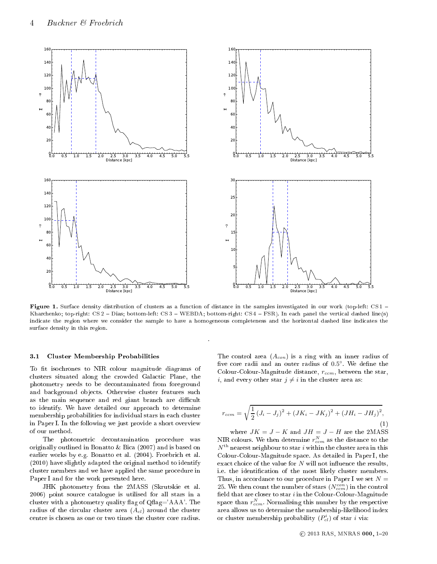

e in tion of distribution of distribution of distances in the samples in our work (the samples in the samples in the samples in the samples of the samples of the samples of the samples of the samples of the samples of the Kharchenko; top-right: CS 2 - Dias; bottom-left: CS 3 - WEBDA; bottom-right: CS 4 - FSR). In each panel the vertical dashed line(s) indicate the region where we consider the sample to have a homogeneous completeness and the horizontal dashed line indicates the surfa
e density in this region.

#### 3.1 Cluster Membership Probabilities

To fit isochrones to NIR colour magnitude diagrams of clusters situated along the crowded Galactic Plane, the photometry needs to be de
ontaminated from foreground and background objects. Otherwise cluster features such as the main sequence and red giant branch are difficult to identify. We have detailed our approa
h to determine membership probabilities for individual stars in each cluster in Paper I. In the following we just provide a short overview of our method.

The photometri de
ontamination pro
edure was originally outlined in Bonatto & Bi
a (2007) and is based on earlier works by e.g. Bonatto et al. (2004). Froebrich et al. (2010) have slightly adapted the original method to identify cluster members and we have applied the same procedure in Paper I and for the work presented here.

JHK photometry from the 2MASS (Skrutskie et al. 2006) point sour
e atalogue is utilised for all stars in a cluster with a photometry quality flag of  $Qflag="AAA'$ . The radius of the circular cluster area  $(A_{cl})$  around the cluster entre is hosen as one or two times the luster ore radius.

The control area  $(A_{con})$  is a ring with an inner radius of five core radii and an outer radius of 0.5°. We define the Colour-Colour-Magnitude distance,  $r_{ccm}$ , between the star, *i*, and every other star  $j \neq i$  in the cluster area as:

$$
r_{ccm} = \sqrt{\frac{1}{2}(J_i - J_j)^2 + (JK_i - JK_j)^2 + (JH_i - JH_j)^2},
$$
\n(1)

where  $JK = J - K$  and  $JH = J - H$  are the 2MASS NIR colours. We then determine  $r_{ccm}^N$  as the distance to the  $N^{\rm th}$  nearest neighbour to star  $i$  within the cluster area in this Colour-Colour-Magnitude spa
e. As detailed in Paper I, the exact choice of the value for  $N$  will not influence the results, i.e. the identification of the most likely cluster members. Thus, in accordance to our procedure in Paper I we set  $N =$ 25. We then count the number of stars  $(N_{ccm}^{con})$  in the control field that are closer to star  $i$  in the Colour-Colour-Magnitude space than  $r_{ccm}^N$ . Normalising this number by the respective area allows us to determine the membership-likelihood index or cluster membership probability  $(P_{cl}^i)$  of star *i* via: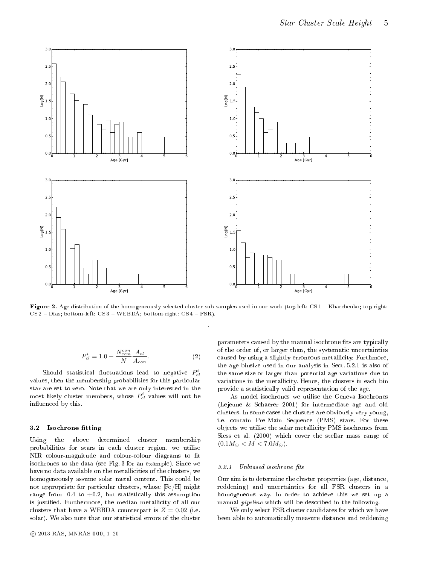

Figure 2. Age distribution of the homogeneously sele
ted luster sub-samples used in our work (top-left: CS 1 Khar
henko; top-right:  $CS 2 - Dias$ ; bottom-left:  $CS 3 - WEBDA$ ; bottom-right:  $CS 4 - FSR$ ).

$$
P_{cl}^{i} = 1.0 - \frac{N_{ccm}^{con}}{N} \frac{A_{cl}}{A_{con}}.
$$
 (2)

 $\quad$  Should statistical fluctuations lead to negative  $P^i_{cl}$ values, then the membership probabilities for this particular star are set to zero. Note that we are only interested in the  ${\rm most\,\,\, likely\,\,\, clusters}\,\, members,\,\,whose \,\, P^i_{cl} \,\,\,values \,\,will\,\,not \,\, be$ influenced by this.

#### 3.2Isochrone fitting

Using the above determined luster membership probabilities for stars in ea
h luster region, we utilise NIR colour-magnitude and colour-colour diagrams to fit iso
hrones to the data (see Fig. 3 for an example). Sin
e we have no data available on the metallicities of the clusters, we homogeneously assume solar metal content. This could be not appropriate for particular clusters, whose  $[Fe/H]$  might range from  $-0.4$  to  $+0.2$ , but statistically this assumption is justified. Furthermore, the median metallicity of all our clusters that have a WEBDA counterpart is  $Z = 0.02$  (i.e. solar). We also note that our statisti
al errors of the luster parameters caused by the manual isochrone fits are typically of the order of, or larger than, the systemati un
ertainties caused by using a slightly erroneous metallicity. Furthmore, the age binsize used in our analysis in Se
t. 5.2.1 is also of the same size or larger than potential age variations due to variations in the metallicity. Hence, the clusters in each bin provide a statisti
ally valid representation of the age.

As model iso
hrones we utilise the Geneva Iso
hrones (Lejeune & S
haerer 2001) for intermediate age and old clusters. In some cases the clusters are obviously very young, i.e. ontain Pre-Main Sequen
e (PMS) stars. For these objects we utilise the solar metallicity PMS isochrones from Siess et al. (2000) which cover the stellar mass range of  $(0.1M_{\odot} < M < 7.0M_{\odot}).$ 

#### 3.2.1 Unbiased isochrone fits

Our aim is to determine the luster properties (age, distan
e, reddening) and un
ertainties for all FSR lusters in a homogeneous way. In order to achieve this we set up a manual *pipeline* which will be described in the following.

We only select FSR cluster candidates for which we have been able to automati
ally measure distan
e and reddening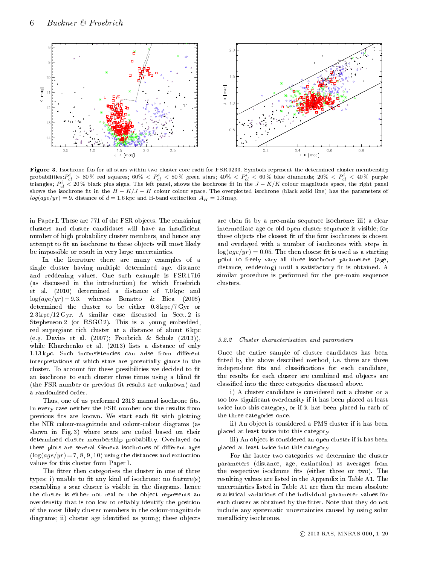

Figure 3. Iso
hrone ts for all stars within two luster ore radii for FSR 0233. Symbols represent the determined luster membership probabilities: $P^i_{cl}>80\,\%$  red squares;  $60\%\ < P^i_{cl} < 80\,\%$  green stars;  $40\%\ < P^i_{cl} < 60\,\%$  blue diamonds;  $20\%\ < P^i_{cl} < 40\,\%$  purple triangles;  $P^i_{cl} < 20\%$  black plus signs. The left panel, shows the isochrone fit in the  $J-K/K$  colour magnitude space, the right panel shows the isochrone fit in the  $H - K/J - H$  colour colour space. The overplotted isochrone (black solid line) has the parameters of  $log(age/yr) = 9$ , distance of  $d = 1.6$  kpc and H-band extinction  $A_H = 1.3$  mag.

in Paper I. These are 771 of the FSR objects. The remaining clusters and cluster candidates will have an insufficient number of high probability cluster members, and hence any attempt to fit an isochrone to these objects will most likely be impossible or result in very large uncertainties.

In the literature there are many examples of a single luster having multiple determined age, distan
e and reddening values. One su
h example is FSR 1716 (as discussed in the introduction) for which Froebrich et al. (2010) determined a distan
e of 7.0 kp and  $log(age/yr) = 9.3$ , whereas Bonatto & Bica (2008) determined the cluster to be either  $0.8 \text{ kpc}/7 \text{ Gyr}$  or 2.3 kp /12 Gyr. A similar ase dis
ussed in Se
t. 2 is Stephenson 2 (or RSGC 2). This is a young embedded, red supergiant ri
h luster at a distan
e of about 6 kp (e.g. Davies et al. (2007); Froebri
h & S
holz (2013)), while Kharchenko et al. (2013) lists a distance of only 1.13 kpc. Such inconsistencies can arise from different interpretations of whi
h stars are potentially giants in the cluster. To account for these possibilities we decided to fit an isochrone to each cluster three times using a blind fit (the FSR number or previous fit results are unknown) and a randomised order.

Thus, one of us performed 2313 manual isochrone fits. In every ase neither the FSR number nor the results from previous fits are known. We start each fit with plotting the NIR olour-magnitude and olourolour diagrams (as shown in Fig. 3) where stars are oded based on their determined luster membership probability. Overlayed on these plots are several Geneva isochrones of different ages  $(\log(age/yr) = 7, 8, 9, 10)$  using the distances and extinction values for this luster from Paper I.

The fitter then categorises the cluster in one of three types: i) unable to fit any kind of isochrone; no feature(s) resembling a star cluster is visible in the diagrams, hence the cluster is either not real or the object represents an overdensity that is too low to reliably identify the position of the most likely luster members in the olour-magnitude diagrams; ii) cluster age identified as young; these objects

are then fit by a pre-main sequence isochrone; iii) a clear intermediate age or old open luster sequen
e is visible; for these objects the closest fit of the four isochrones is chosen and overlayed with a number of iso
hrones with steps in  $\log(aq e/yr) = 0.05$ . The then closest fit is used as a starting point to freely vary all three iso
hrone parameters (age, distance, reddening) until a satisfactory fit is obtained. A similar procedure is performed for the pre-main sequence lusters.

#### 3.2.2 Cluster characterisation and parameters

On
e the entire sample of luster andidates has been fitted by the above described method, i.e. there are three independent fits and classifications for each candidate, the results for each cluster are combined and objects are classified into the three categories discussed above.

i) A luster andidate is onsidered not a luster or a too low significant overdensity if it has been placed at least twice into this category, or if it has been placed in each of the three ategories on
e.

ii) An ob je
t is onsidered a PMS luster if it has been pla
ed at least twi
e into this ategory.

iii) An object is considered an open cluster if it has been pla
ed at least twi
e into this ategory.

For the latter two ategories we determine the luster parameters (distan
e, age, extin
tion) as averages from the respective isochrone fits (either three or two). The resulting values are listed in the Appendix in Table A1. The un
ertainties listed in Table A1 are then the mean absolute statisti
al variations of the individual parameter values for each cluster as obtained by the fitter. Note that they do not in
lude any systemati un
ertainties aused by using solar metallicity isochrones.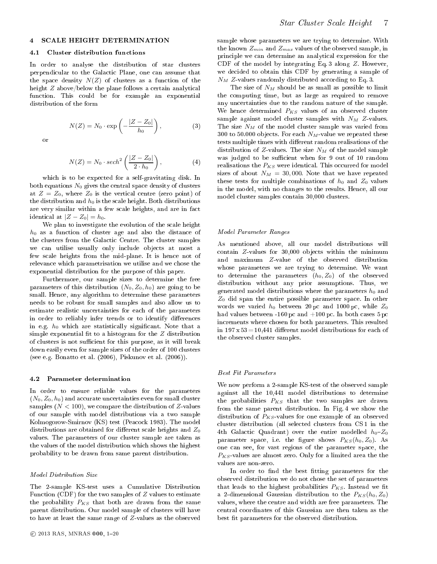#### 4.1 Cluster distribution fun
tions

In order to analyse the distribution of star lusters perpendi
ular to the Gala
ti Plane, one an assume that the space density  $N(Z)$  of clusters as a function of the height  $Z$  above/below the plane follows a certain analytical function. This could be for example an exponential distribution of the form

$$
N(Z) = N_0 \cdot \exp\left(-\frac{|Z - Z_0|}{h_0}\right),\tag{3}
$$

or

$$
N(Z) = N_0 \cdot sech^2\left(\frac{|Z - Z_0|}{2 \cdot h_0}\right),\tag{4}
$$

which is to be expected for a self-gravitating disk. In both equations  $N_0$  gives the central space density of clusters at  $Z = Z_0$ , where  $Z_0$  is the vertical centre (zero point) of the distribution and  $h_0$  is the scale height. Both distributions are very similar within a few scale heights, and are in fact identical at  $|Z - Z_0| = h_0$ .

We plan to investigate the evolution of the s
ale height  $h_0$  as a function of cluster age and also the distance of the lusters from the Gala
ti Centre. The luster samples we can utilise usually only include objects at most a few scale heights from the mid-plane. It is hence not of relevance which parametrisation we utilise and we chose the exponential distribution for the purpose of this paper.

Furthermore, our sample sizes to determine the free parameters of this distribution  $(N_0, Z_0, h_0)$  are going to be small. Hen
e, any algorithm to determine these parameters needs to be robust for small samples and also allow us to estimate realisti un
ertainties for ea
h of the parameters in order to reliably infer trends or to identify differences in e.g.  $h_0$  which are statistically significant. Note that a simple exponential fit to a histogram for the  $Z$  distribution of clusters is not sufficient for this purpose, as it will break down easily even for sample sizes of the order of 100 lusters (see e.g. Bonatto et al. (2006), Piskunov et al. (2006)).

#### 4.2 Parameter determination

In order to ensure reliable values for the parameters  $(N_0, Z_0, h_0)$  and accurate uncertainties even for small cluster samples  $(N < 100)$ , we compare the distribution of Z-values of our sample with model distributions via a two sample Kolmogorow-Smirnov (KS) test (Pea
o
k 1983). The model distributions are obtained for different scale heights and  $Z_0$ values. The parameters of our luster sample are taken as the values of the model distribution whi
h shows the highest probability to be drawn from same parent distribution.

The 2-sample KS-test uses a Cumulative Distribution Function (CDF) for the two samples of  $Z$  values to estimate the probability  $P_{KS}$  that both are drawn from the same parent distribution. Our model sample of clusters will have to have at least the same range of Z -values as the observed

sample whose parameters we are trying to determine. With the known  $Z_{min}$  and  $Z_{max}$  values of the observed sample, in prin
iple we an determine an analyti
al expression for the CDF of the model by integrating Eq. 3 along Z . However, we de
ided to obtain this CDF by generating a sample of  $N_M$  Z values randomly distributed according to Eq. 3.

The size of  $N_M$  should be as small as possible to limit the omputing time, but as large as required to remove any un
ertainties due to the random nature of the sample. We hence determined  $P_{KS}$  values of an observed cluster sample against model cluster samples with  $N_M$  Z-values. The size  $N_M$  of the model cluster sample was varied from 300 to 50.000 objects. For each  $N_M$ -value we repeated these tests multiple times with different random realisations of the distribution of Z values. The size  $N_M$  of the model sample was judged to be sufficient when for 9 out of 10 random realisations the  $P_{KS}$  were identical. This occurred for model sizes of about  $N_M = 30,000$ . Note that we have repeated these tests for multiple combinations of  $h_0$  and  $Z_0$  values in the model, with no hanges to the results. Hen
e, all our model cluster samples contain 30,000 clusters.

#### model Parameter Rowley or

As mentioned above, all our model distributions will contain  $Z$  values for 30,000 objects within the minimum and maximum Z-value of the observed distribution whose parameters we are trying to determine. We want to determine the parameters  $(h_0, Z_0)$  of the observed distribution without any prior assumptions. Thus, we generated model distributions where the parameters  $h_0$  and  $Z_0$  did span the entire possible parameter space. In other words we varied  $h_0$  between 20 pc and 1000 pc, while  $Z_0$ had values between -160 pc and  $+100$  pc. In both cases  $5\,\mathrm{pc}$ in
rements where hosen for both parameters. This resulted in  $197 \times 53 = 10,441$  different model distributions for each of the observed luster samples.

We now perform a 2-sample KS-test of the observed sample against all the 10,441 model distributions to determine the probabilities  $P_{KS}$  that the two samples are drawn from the same parent distribution. In Fig. 4 we show the distribution of  $P_{KS}$  values for one example of an observed cluster distribution (all selected clusters from CS 1 in the 4th Galactic Quadrant) over the entire modelled  $h_0-Z_0$ parameter space, i.e. the figure shows  $P_{KS}(h_0, Z_0)$ . As one an see, for vast regions of the parameter spa
e, the  $P_{KS}$ -values are almost zero. Only for a limited area the the values are non-zero.

In order to find the best fitting parameters for the observed distribution we do not hose the set of parameters that leads to the highest probabilities  $P_{KS}$ . Instead we fit a 2-dimensional Gaussian distribution to the  $P_{KS}(h_0, Z_0)$ values, where the entre and width are free parameters. The entral oordinates of this Gaussian are then taken as the best fit parameters for the observed distribution.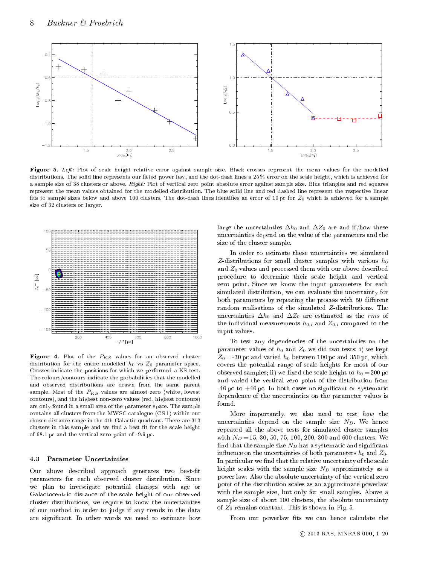

rosses relative error as samble errore against sample sample sizes for the modelled the modelled modelled the distributions. The solid line represents our fitted power law, and the dot-dash lines a 25% error on the scale height, which is achieved for a sample size of 38 clusters or above. Right: Plot of vertical zero point absolute error against sample size. Blue triangles and red squares represent the mean values obtained for the modelled distribution. The blue solid line and red dashed line represent the respective linear fits to sample sizes below and above 100 clusters. The dot-dash lines identifies an error of 10 pc for  $Z_0$  which is achieved for a sample size of 32 lusters or larger.



**Figure 4.** Plot of the  $P_{KS}$  values for an observed cluster distribution for the entire modelled  $h_0$  vs  $Z_0$  parameter space. Crosses indi
ate the positions for whi
h we performed a KS-test. The colours/contours indicate the probabilities that the modelled and observed distributions are drawn from the same parent sample. Most of the  $P_{KS}$  values are almost zero (white, lowest contours), and the highest non-zero values (red, highest contours) are only found in a small area of the parameter spa
e. The sample ontains all lusters from the MWSC atalogue (CS 1) within our chosen distance range in the 4th Galactic quadrant. There are 313 clusters in this sample and we find a best fit for the scale height of 68.1 p and the verti
al zero point of -9.9 p
.

#### 4.3 Parameter Un
ertainties

Our above described approach generates two best-fit parameters for ea
h observed luster distribution. Sin
e we plan to investigate potential hanges with age or Galactocentric distance of the scale height of our observed cluster distributions, we require to know the uncertainties of our method in order to judge if any trends in the data are signi
ant. In other words we need to estimate how

large the uncertainties  $\Delta h_0$  and  $\Delta Z_0$  are and if/how these un
ertainties depend on the value of the parameters and the size of the luster sample.

In order to estimate these un
ertainties we simulated Z-distributions for small cluster samples with various  $h_0$ and  $Z_0$  values and processed them with our above described pro
edure to determine their s
ale height and verti
al zero point. Sin
e we know the input parameters for ea
h simulated distribution, we can evaluate the uncertainty for both parameters by repeating the process with 50 different random realisations of the simulated  $Z$ -distributions. The uncertainties  $\Delta h_0$  and  $\Delta Z_0$  are estimated as the *rms* of the individual measurements  $h_{0,i}$  and  $Z_{0,i}$  compared to the input values.

To test any dependen
ies of the un
ertainties on the parameter values of  $h_0$  and  $Z_0$  we did two tests: i) we kept  $Z_0 = -30$  pc and varied  $h_0$  between 100 pc and 350 pc, which overs the potential range of s
ale heights for most of our observed samples; ii) we fixed the scale height to  $h_0 = 200$  pc and varied the verti
al zero point of the distribution from  $-40$  pc to  $+40$  pc. In both cases no significant or systematic dependen
e of the un
ertainties on the parameter values is found.

More importantly, we also need to test how the uncertainties depend on the sample size  $N_D$ . We hence repeated all the above tests for simulated luster samples with  $N_D = 15, 30, 50, 75, 100, 200, 300$  and 600 clusters. We find that the sample size  $N_D$  has a systematic and significant influence on the uncertainties of both parameters  $h_0$  and  $Z_0$ . In particular we find that the relative uncertainty of the scale height scales with the sample size  $N_D$  approximately as a power law. Also the absolute un
ertainty of the verti
al zero point of the distribution s
ales as an approximate powerlaw with the sample size, but only for small samples. Above a sample size of about 100 clusters, the absolute uncertainty of  $Z_0$  remains constant. This is shown in Fig. 5.

From our powerlaw fits we can hence calculate the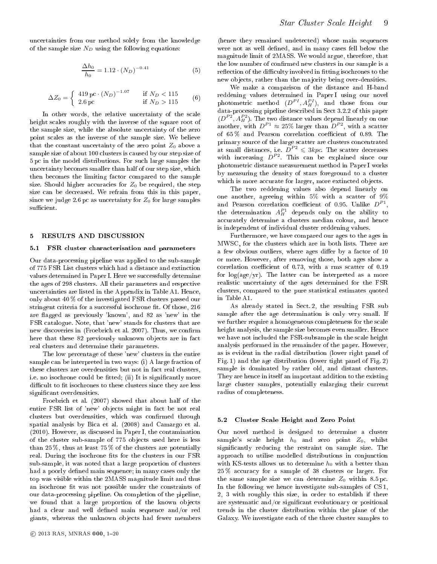$$
\frac{\Delta h_0}{h_0} = 1.12 \cdot (N_D)^{-0.41} \tag{5}
$$

$$
\Delta Z_0 = \begin{cases} 419 \,\text{pc} \cdot (N_D)^{-1.07} & \text{if } N_D < 115 \\ 2.6 \,\text{pc} & \text{if } N_D > 115 \end{cases} \tag{6}
$$

In other words, the relative uncertainty of the scale height scales roughly with the inverse of the square root of the sample size, while the absolute un
ertainty of the zero point s
ales as the inverse of the sample size. We believe that the constant uncertainty of the zero point  $Z_0$  above a sample size of about 100 lusters is aused by our step size of 5 p in the model distributions. For su
h large samples the un
ertainty be
omes smaller than half of our step size, whi
h then be
omes the limiting fa
tor ompared to the sample size. Should higher accuracies for  $Z_0$  be required, the step size can be decreased. We refrain from this in this paper, since we judge 2.6 pc as uncertainty for  $Z_0$  for large samples sufficient.

#### 5 RESULTS AND DISCUSSION

#### 5.1 FSR cluster characterisation and parameters

Our data-pro
essing pipeline was applied to the sub-sample of 775 FSR List lusters whi
h had a distan
e and extin
tion values determined in Paper I. Here we successfully determine the ages of 298 lusters. All their parameters and respe
tive un
ertainties are listed in the Appendix in Table A1. Hen
e, only about 40 % of the investigated FSR lusters passed our stringent criteria for a successful isochrone fit. Of those, 216 are flagged as previously 'known', and 82 as 'new' in the FSR atalogue. Note, that 'new' stands for lusters that are new discoveries in (Froebrich et al. 2007). Thus, we confirm here that these 82 previously unknown objects are in fact real lusters and determine their parameters.

The low per
entage of these 'new' lusters in the entire sample can be interpreted in two ways: (i) A large fraction of these clusters are overdensities but not in fact real clusters. i.e. no isochrone could be fitted; (ii) It is significantly more difficult to fit isochrones to these clusters since they are less significant overdensities.

Froebri
h et al. (2007) showed that about half of the entire FSR list of 'new' objects might in fact be not real clusters but overdensities, which was confirmed through spatial analysis by Bi
a et al. (2008) and Camargo et al. (2010). However, as dis
ussed in Paper I, the ontamination of the luster sub-sample of 775 ob je
ts used here is less than 25 %, thus at least 75 % of the lusters are potentially real. During the isochrone fits for the clusters in our FSR sub-sample, it was noted that a large proportion of lusters had a poorly defined main sequence; in many cases only the top was visible within the 2MASS magnitude limit and thus an isochrone fit was not possible under the constraints of our data-pro
essing pipeline. On ompletion of the pipeline, we found that a large proportion of the known objects had a clear and well defined main sequence and/or red giants, whereas the unknown ob je
ts had fewer members

(hence they remained undetected) whose main sequences were not as well defined, and in many cases fell below the magnitude limit of 2MASS. We would argue, therefore, that the low number of confirmed new clusters in our sample is a reflection of the difficulty involved in fitting isochrones to the new objects, rather than the majority being over-densities.

We make a omparison of the distan
e and H-band reddening values determined in Paper I using our novel photometric method  $(D^{PI}, A^{PI}_H)$ , and those from our data-pro
essing pipeline des
ribed in Se
t 3.2.2 of this paper  $(D^{P2}, A_H^{P2})$ . The two distance values depend linearly on one another, with  $D^{P1} \approx 25\%$  larger than  $D^{P2}$ , with a scatter of 65% and Pearson correlation coefficient of 0.89. The primary sour
e of the large s
atter are lusters on
entrated at small distances, i.e.  $D^{P2} \leq 3kpc$ . The scatter decreases with increasing  $D^{P2}$ . This can be explained since our photometri distan
e measurement method in Paper I works by measuring the density of stars foreground to a luster which is more accurate for larger, more extincted objects.

The two reddening values also depend linearly on one another, agreeing within 5% with <sup>a</sup> s
atter of 9% and Pearson correlation coefficient of 0.95. Unlike  $D^{P1}$ , the determination  $A_H^{P1}$  depends only on the ability to accurately determine a clusters median colour, and hence is independent of individual luster reddening values.

Furthermore, we have ompared our ages to the ages in MWSC, for the lusters whi
h are in both lists. There are a few obvious outliers, where ages differ by a factor of 10 or more. However, after removing those, both ages show a correlation coefficient of 0.73, with a rms scatter of 0.19 for  $log(age/yr)$ . The latter can be interpreted as a more realisti un
ertainty of the ages determined for the FSR lusters, ompared to the pure statisti
al estimates quoted in Table A1.

As already stated in Sect.2, the resulting FSR sub sample after the age determination is only very small. If we further require a homogeneous completeness for the scale height analysis, the sample size be
omes even smaller. Hen
e we have not in
luded the FSR-subsample in the s
ale height analysis performed in the remainder of the paper. However, as is evident in the radial distribution (lower right panel of Fig. 1) and the age distribution (lower tight panel of Fig. 2) sample is dominated by rather old, and distant lusters. They are hen
e in itself an important addition to the existing large cluster samples, potentially enlarging their current radius of ompleteness.

#### 5.2 Cluster S
ale Height and Zero Point

Our novel method is designed to determine a luster sample's scale height  $h_0$  and zero point  $Z_0$ , whilst significantly reducing the restraint on sample size. The approach to utilise modelled distributions in conjunction with KS-tests allows us to determine  $h_0$  with a better than 25 % a

ura
y for a sample of 38 lusters or larger. For the same sample size we can determine  $Z_0$  within 8.5 pc. In the following we hen
e investigate sub-samples of CS 1, 2, 3 with roughly this size, in order to establish if there are systemati and/or signi
ant evolutionary or positional trends in the luster distribution within the plane of the Galaxy. We investigate ea
h of the three luster samples to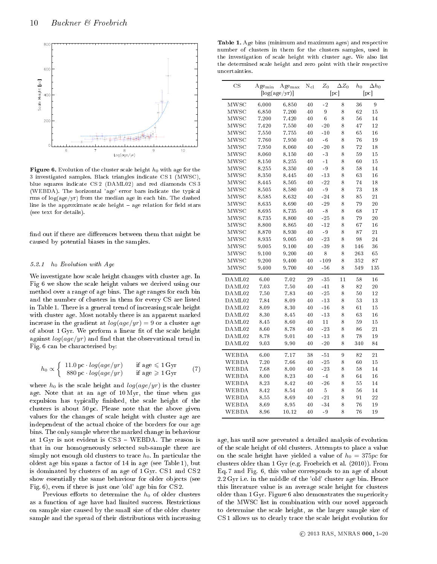

**Figure 6.** Evolution of the cluster scale height  $h_0$  with age for the 3 investigated samples. Bla
k triangles indi
ate CS 1 (MWSC), blue squares indicate CS2 (DAML02) and red diamonds CS3 (WEBDA). The horizontal 'age' error bars indicate the typical rms of  $log(age/yr)$  from the median age in each bin. The dashed line is the approximate scale height - age relation for field stars (see text for details).

find out if there are differences between them that might be aused by potential biases in the samples.

#### 5.2.1 h<sup>0</sup> Evolution with Age

We investigate how s
ale height hanges with luster age. In Fig 6 we show the s
ale height values we derived using our method over a range of age bins. The age ranges for ea
h bin and the number of lusters in them for every CS are listed in Table 1. There is a general trend of increasing scale height with luster age. Most notably there is an apparent marked increase in the gradient at  $log(age/yr) = 9$  or a cluster age of about 1 Gyr. We perform a linear fit of the scale height against  $log(age/yr)$  and find that the observational trend in Fig. 6 can be characterised by:

$$
h_0 \propto \begin{cases} 11.0 \,\text{pc} \cdot \log(\text{age/yr}) & \text{if } \text{age} \leq 1 \,\text{Gyr} \\ 880 \,\text{pc} \cdot \log(\text{age/yr}) & \text{if } \text{age} \geq 1 \,\text{Gyr} \end{cases} \tag{7}
$$

where  $h_0$  is the scale height and  $log(age/yr)$  is the cluster age. Note that at an age of 10 Myr, the time when gas expulsion has typically finished, the scale height of the clusters is about 50 pc. Please note that the above given values for the hanges of s
ale height with luster age are independent of the actual choice of the borders for our age bins. The only sample where the marked 
hange in behaviour at  $1 \,\mathrm{Gyr}$  is not evident is  $CS\,3$  – WEBDA. The reason is that in our homogeneously selected sub-sample there are simply not enough old clusters to trace  $h_0$ . In particular the oldest age bin spans a fa
tor of 14 in age (see Table 1), but is dominated by lusters of an age of 1 Gyr. CS 1 and CS 2 show essentially the same behaviour for older objects (see Fig. 6), even if there is just one 'old' age bin for CS 2.

Previous efforts to determine the  $h_0$  of older clusters as a function of age have had limited success. Restrictions on sample size caused by the small size of the older cluster sample and the spread of their distributions with increasing

Table 1. Age bins (minimum and maximum ages) and respe
tive number of lusters in them for the lusters samples, used in the investigation of s
ale height with luster age. We also list the determined scale height and zero point with their respective un
ertainties.

| $_{\rm CS}$ | $_{\rm Age_{min}}$ | $Age_{\rm max}$<br>$\lceil \log(\text{age}/\text{yr}) \rceil$ | $\rm N_{cl}$ | $\mathcal{Z}_0$<br>[pc] | $\Delta Z_0$ | $\Delta h_0$<br>$h_0$<br>[pc] |     |  |
|-------------|--------------------|---------------------------------------------------------------|--------------|-------------------------|--------------|-------------------------------|-----|--|
| MWSC        | 6.000              | 6.850                                                         | 40           | $-2$                    | 8            | 36                            | 9   |  |
| MWSC        | 6.850              | 7.200                                                         | 40           | 9                       | 8            | 62                            | 15  |  |
| MWSC        | 7.200              | 7.420                                                         | 40           | 6                       | 8            | 56                            | 14  |  |
| MWSC        | 7.420              | 7.550                                                         | 40           | $-20$                   | 8            | 47                            | 12  |  |
| MWSC        | 7.550              | 7.755                                                         | 40           | $-10$                   | 8            | 65                            | 16  |  |
| MWSC        | 7.760              | 7.950                                                         | 40           | $-6$                    | 8            | 76                            | 19  |  |
| MWSC        | 7.950              | 8.060                                                         | 40           | $-20$                   | 8            | 72                            | 18  |  |
| MWSC        | 8.060              | 8.150                                                         | 40           | $-3$                    | 8            | 59                            | 15  |  |
| MWSC        | 8.150              | 8.255                                                         | 40           | $-1$                    | 8            | 60                            | 15  |  |
| MWSC        | 8.255              | 8.350                                                         | 40           | $-9$                    | 8            | 58                            | 14  |  |
| MWSC        | 8.350              | 8.445                                                         | 40           | $-13$                   | 8            | 63                            | 16  |  |
| MWSC        | 8.445              | 8.505                                                         | 40           | $-22$                   | 8            | 74                            | 18  |  |
| MWSC        | 8.505              | 8.580                                                         | 40           | $-9$                    | 8            | 73                            | 18  |  |
| MWSC        | 8.585              | 8.632                                                         | 40           | $-24$                   | 8            | 85                            | 21  |  |
| MWSC        | 8.635              | 8.690                                                         | 40           | $-29$                   | 8            | 79                            | 20  |  |
| MWSC        | 8.695              | 8.735                                                         | 40           | $-8$                    | 8            | 68                            | 17  |  |
| MWSC        | 8.735              | 8.800                                                         | 40           | $-25$                   | 8            | 79                            | 20  |  |
| MWSC        | 8.800              | 8.865                                                         | 40           | $-12$                   | 8            | 67                            | 16  |  |
| MWSC        | 8.870              | 8.930                                                         | 40           | $-9$                    | 8            | 87                            | 21  |  |
| MWSC        | 8.935              | 9.005                                                         | 40           | $-23$                   | 8            | 98                            | 24  |  |
| MWSC        | 9.005              | 9.100                                                         | 40           | $-39$                   | 8            | 146                           | 36  |  |
| MWSC        | 9.100              | 9.200                                                         | 40           | 8                       | 8            | 263                           | 65  |  |
| MWSC        | 9.200              | 9.400                                                         | 40           | $-109$                  | 8            | 352                           | 87  |  |
| MWSC        | 9.400              | 9.700                                                         | 40           | $-56$                   | 8            | 549                           | 135 |  |
| DAML02      | 6.00               | 7.02                                                          | 29           | $-35$                   | 11           | 58                            | 16  |  |
| DAML02      | 7.03               | 7.50                                                          | 40           | $-41$                   | 8            | 82                            | 20  |  |
| DAML02      | 7.50               | 7.83                                                          | 40           | $-25$                   | 8            | 50                            | 12  |  |
| DAML02      | 7.84               | 8.09                                                          | 40           | $-13$                   | 8            | 53                            | 13  |  |
| DAML02      | 8.09               | 8.30                                                          | 40           | $-16$                   | 8            | 61                            | 15  |  |
| DAML02      | 8.30               | 8.45                                                          | 40           | -13                     | 8            | 63                            | 16  |  |
| DAML02      | 8.45               | 8.60                                                          | 40           | 11                      | 8            | 59                            | 15  |  |
| DAML02      | 8.60               | 8.78                                                          | 40           | $-23$                   | 8            | 86                            | 21  |  |
| DAML02      | 8.78               | 9.01                                                          | 40           | $-13$                   | 8            | 78                            | 19  |  |
| DAML02      | 9.03               | 9.90                                                          | 40           | $-20$                   | 8            | 340                           | 84  |  |
| WEBDA       | 6.00               | 7.17                                                          | 38           | $-51$                   | 9            | 82                            | 21  |  |
| WEBDA       | 7.20               | 7.66                                                          | 40           | $-25$                   | 8            | 60                            | 15  |  |
| WEBDA       | 7.68               | 8.00                                                          | 40           | $-23$                   | 8            | 58                            | 14  |  |
| WEBDA       | 8.00               | 8.23                                                          | 40           | $-4$                    | 8            | 64                            | 16  |  |
| WEBDA       | 8.23               | 8.42                                                          | 40           | $-26$                   | 8            | 55                            | 14  |  |
| WEBDA       | 8.42               | 8.54                                                          | 40           | $\bf 5$                 | 8            | 56                            | 14  |  |
| WEBDA       | 8.55               | 8.69                                                          | 40           | $-21$                   | 8            | 91                            | 22  |  |
| WEBDA       | 8.69               | 8.95                                                          | 40           | $-34$                   | 8            | 76                            | 19  |  |
| WEBDA       | 8.96               | 10.12                                                         | 40           | $-9$                    | 8            | 76                            | 19  |  |

age, has until now prevented a detailed analysis of evolution of the s
ale height of old lusters. Attempts to pla
e a value on the scale height have yielded a value of  $h_0 = 375pc$  for clusters older than 1 Gyr (e.g. Froebrich et al. (2010)). From Eq. 7 and Fig. 6, this value orresponds to an age of about 2.2 Gyr i.e. in the middle of the 'old' luster age bin. Hen
e this literature value is an average s
ale height for lusters older than 1 Gyr. Figure 6 also demonstrates the superiority of the MWSC list in ombination with our novel approa
h to determine the scale height, as the larger sample size of CS 1 allows us to learly tra
e the s
ale height evolution for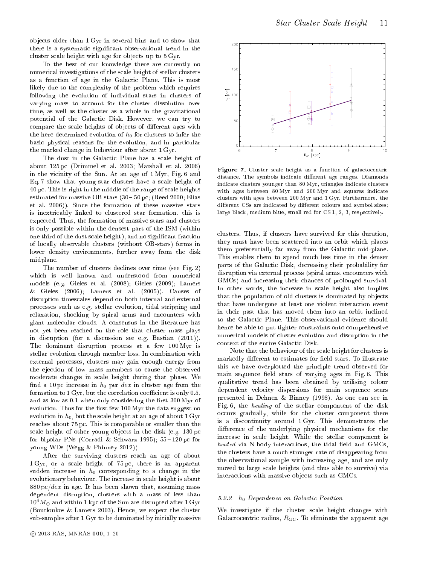ob je
ts older than 1 Gyr in several bins and to show that there is a systematic significant observational trend in the cluster scale height with age for objects up to  $5 \text{ Gyr}$ .

To the best of our knowledge there are urrently no numeri
al investigations of the s
ale height of stellar lusters as a fun
tion of age in the Gala
ti Plane. This is most likely due to the complexity of the problem which requires following the evolution of individual stars in lusters of varying mass to account for the cluster dissolution over time, as well as the luster as a whole in the gravitational potential of the Galactic Disk. However, we can try to compare the scale heights of objects of different ages with the here determined evolution of  $h_0$  for clusters to infer the basic physical reasons for the evolution, and in particular the marked hange in behaviour after about 1 Gyr.

The dust in the Galactic Plane has a scale height of about 125 p (Drimmel et al. 2003; Marshall et al. 2006) in the vicinity of the Sun. At an age of 1 Myr, Fig. 6 and Eq. 7 show that young star clusters have a scale height of 40 p
. This is right in the middle of the range of s
ale heights estimated for massive OB-stars  $(30 - 50 \text{ pc})$ ; (Reed 2000; Elias et al. 2006)). Sin
e the formation of these massive stars is inextri
ably linked to lustered star formation, this is expe
ted. Thus, the formation of massive stars and lusters is only possible within the densest part of the ISM (within one third of the dust scale height), and no significant fraction of lo
ally observable lusters (without OB-stars) forms in lower density environments, further away from the disk midplane.

The number of clusters declines over time (see Fig. 2) which is well known and understood from numerical models (e.g. Gieles et al. (2008); Gieles (2009); Lamers Gieles  $(2006)$ ; Lamers et al.  $(2005)$ ). Causes of  $\&$ disruption times
ales depend on both internal and external pro
esses su
h as e.g. stellar evolution, tidal stripping and relaxation, shocking by spiral arms and encounters with giant mole
ular louds. A onsensus in the literature has not yet been rea
hed on the role that luster mass plays in disruption (for a dis
ussion see e.g. Bastian (2011)). The dominant disruption pro
ess at a few 100 Myr is stellar evolution through member loss. In combination with external pro
esses, lusters may gain enough energy from the eje
tion of low mass members to ause the observed moderate hanges in s
ale height during that phase. We find a 10 pc increase in  $h_0$  per dex in cluster age from the formation to  $1 \,\mathrm{Gyr}$ , but the correlation coefficient is only 0.5, and as low as  $0.1$  when only considering the first  $300$  Myr of evolution. Thus for the first few 100 Myr the data suggest no evolution in  $h_0$ , but the scale height at an age of about  $1 \,\mathrm{Gyr}$ rea
hes about 75 p
. This is omparable or smaller than the scale height of other young objects in the disk (e.g. 130 pc) for bipolar PNs (Corradi & Schwarz 1995);  $55-120$  pc for young WDs (Wegg & Phinney 2012))

After the surviving lusters rea
h an age of about 1 Gyr, or a s
ale height of 75 p
, there is an apparent sudden increase in  $h_0$  corresponding to a change in the evolutionary behaviour. The increase in scale height is about  $880 \,\mathrm{pc}/dex$  in age. It has been shown that, assuming mass dependent disruption, lusters with a mass of less than  $10^4 M_{\odot}$  and within 1 kpc of the Sun are disrupted after 1 Gyr (Boutloukos & Lamers 2003). Hen
e, we expe
t the luster sub-samples after 1 Gyr to be dominated by initially massive



Figure 7. Cluster s
ale height as a fun
tion of gala
to
entri distance. The symbols indicate different age ranges. Diamonds indi
ate lusters younger than 80 Myr, triangles indi
ate lusters with ages between 80 Myr and 200 Myr and squares indi
ate clusters with ages between 200 Myr and 1 Gyr. Furthermore, the different CSs are indicated by different colours and symbol sizes; large black, medium blue, small red for CS 1, 2, 3, respectively.

clusters. Thus, if clusters have survived for this duration, they must have been s
attered into an orbit whi
h pla
es them preferentially far away from the Galactic mid-plane. This enables them to spend mu
h less time in the denser parts of the Galactic Disk, decreasing their probability for disruption via external process (spiral arms, encounters with GMCs) and in
reasing their han
es of prolonged survival. In other words, the increase in scale height also implies that the population of old clusters is dominated by objects that have undergone at least one violent interaction event in their past that has moved them into an orbit in
lined to the Galactic Plane. This observational evidence should hence be able to put tighter constraints onto comprehensive numeri
al models of luster evolution and disruption in the context of the entire Galactic Disk.

Note that the behaviour of the s
ale height for lusters is markedly different to estimates for field stars. To illustrate this we have overplotted the prin
iple trend observed for main sequence field stars of varying ages in Fig. 6. This qualitative trend has been obtained by utilising olour dependent velocity dispersions for main sequence stars presented in Dehnen & Binney (1998). As one an see in Fig. 6, the *heating* of the stellar compontent of the disk occurs gradually, while for the cluster component there is a dis
ontinuity around 1 Gyr. This demonstrates the difference of the underlying physical mechanisms for the in
rease in s
ale height. While the stellar omponent is heated via N-body intera
tions, the tidal eld and GMCs, the lusters have a mu
h stronger rate of disappearing from the observational sample with in
reasing age, and are only moved to large s
ale heights (and thus able to survive) via interactions with massive objects such as GMCs.

#### 5.2.2 h<sup>0</sup> Dependen
e on Gala
ti Position

We investigate if the cluster scale height changes with Galactocentric radius,  $R_{GC}$  . To eliminate the apparent age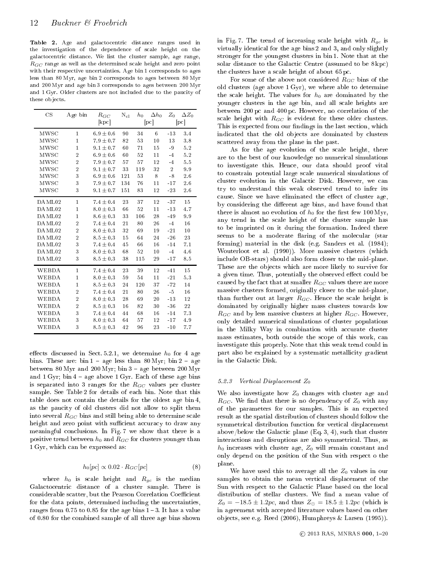Table 2. Age and galactocentric distance ranges used in the investigation of the dependen
e of s
ale height on the gala
to
entri distan
e. We list the luster sample, age range,  $R_{GC}$  range as well as the determined scale height and zero point with their respective uncertainties. Age bin 1 corresponds to ages less than 80 Myr, age bin 2 corresponds to ages between 80 Myr and 200 Myr and age bin 3 orresponds to ages between 200 Myr and 1 Gyr. Older clusters are not included due to the paucity of these objects.

| $\overline{\text{CS}}$ | Age bin        | $R_{GC}$<br>[kpc] | $\rm N_{cl}$ | $h_{0}$ | $\Delta h_0$<br>[pc] | $Z_0$          | $\Delta Z_0$<br>[pc] |
|------------------------|----------------|-------------------|--------------|---------|----------------------|----------------|----------------------|
|                        |                |                   |              |         |                      |                |                      |
| MWSC                   | 1              | $6.9 \pm 0.6$     | 90           | 34      | 6                    | $-13$          | 3.4                  |
| MWSC                   | $\mathbf{1}$   | $7.9 \pm 0.7$     | 82           | 53      | 10                   | 13             | 3.8                  |
| MWSC                   | $\mathbf{1}$   | $9.1 \pm 0.7$     | 60           | 71      | 15                   | $-9$           | 5.2                  |
| MWSC                   | $\overline{2}$ | $6.9 \pm 0.6$     | 60           | 52      | 11                   | $-4$           | 5.2                  |
| MWSC                   | $\overline{2}$ | $7.9 \pm 0.7$     | 57           | 57      | 12                   | $-4$           | 5.5                  |
| MWSC                   | $\overline{2}$ | $9.1 \pm 0.7$     | 33           | 119     | 32                   | $\overline{2}$ | 9.9                  |
| MWSC                   | 3              | $6.9 \pm 0.6$     | 121          | 53      | 8                    | $-8$           | 2.6                  |
| MWSC                   | 3              | $7.9 \pm 0.7$     | 134          | 76      | 11                   | $-17$          | 2.6                  |
| MWSC                   | 3              | $9.1 \pm 0.7$     | 151          | 83      | 12                   | $-23$          | 2.6                  |
| DAML02                 | 1              | $7.4 \pm 0.4$     | 23           | 37      | 12                   | $-37$          | 15                   |
| DAML02                 | 1              | $8.0 \pm 0.3$     | 66           | 52      | 11                   | $-13$          | 4.7                  |
| DAML02                 | $\overline{1}$ | $8.6 \pm 0.3$     | 33           | 106     | 28                   | $-49$          | 9.9                  |
| DAML02                 | $\overline{2}$ | $7.4 \pm 0.4$     | 21           | 80      | 26                   | $-4$           | 16                   |
| DAML02                 | $\overline{2}$ | $8.0 \pm 0.3$     | 32           | 69      | 19                   | $-21$          | 10                   |
| DAML02                 | $\overline{2}$ | $8.5 \pm 0.3$     | 15           | 64      | 24                   | $-26$          | 23                   |
| DAML02                 | 3              | $7.4 \pm 0.4$     | 45           | 66      | 16                   | $-14$          | 7.1                  |
| DAML02                 | 3              | $8.0 \pm 0.3$     | 68           | 52      | 10                   | $-4$           | 4.6                  |
| DAML02                 | 3              | $8.5 \pm 0.3$     | 38           | 115     | 29                   | $-17$          | 8.5                  |
| WEBDA                  | $\mathbf{1}$   | $7.4 \pm 0.4$     | 23           | 39      | 12                   | $-41$          | 15                   |
| WEBDA                  | $\mathbf{1}$   | $8.0 \pm 0.3$     | 59           | 54      | 11                   | $-21$          | 5.3                  |
| WEBDA                  | $\overline{1}$ | $8.5 \pm 0.3$     | 24           | 120     | 37                   | $-72$          | 14                   |
| WEBDA                  | $\overline{2}$ | $7.4 \pm 0.4$     | 21           | 80      | 26                   | $-5$           | 16                   |
| WEBDA                  | $\overline{2}$ | $8.0 \pm 0.3$     | 28           | 69      | 20                   | $-13$          | 12                   |
| WEBDA                  | $\overline{2}$ | $8.5 \pm 0.3$     | 16           | 82      | 30                   | $-36$          | 22                   |
| WEBDA                  | 3              | $7.4 \pm 0.4$     | 44           | 68      | 16                   | $-14$          | 7.3                  |
| WEBDA                  | 3              | $8.0 \pm 0.3$     | 64           | 57      | 12                   | $-17$          | 4.9                  |
| <b>WEBDA</b>           | 3              | $8.5 \pm 0.3$     | 42           | 96      | 23                   | $-10$          | 7.7                  |

effects discussed in Sect. 5.2.1, we determine  $h_0$  for 4 age bins. These are:  $\sin 1 - \text{age less than } 80 \text{ Myr}$ ;  $\sin 2 - \text{age}$ between  $80$  Myr and  $200$  Myr; bin  $3$  - age between  $200$  Myr and  $1 \text{ Gyr}$ ; bin  $4$  – age above  $1 \text{ Gyr}$ . Each of these age bins is separated into 3 ranges for the  $R_{GC}$  values per cluster sample. See Table 2 for details of each bin. Note that this table does not ontain the details for the oldest age bin 4, as the pau
ity of old lusters did not allow to split them into several  $R_{GC}$  bins and still being able to determine scale height and zero point with sufficient accuracy to draw any meaningful conclusions. In Fig. 7 we show that there is a positive trend between  $h_0$  and  $R_{GC}$  for clusters younger than 1 Gyr, whi
h an be expressed as:

$$
h_0[pc] \propto 0.02 \cdot R_{GC}[pc] \tag{8}
$$

where  $h_0$  is scale height and  $R_{gc}$  is the median Gala
to
entri distan
e of a luster sample. There is considerable scatter, but the Pearson Correlation Coefficient for the data points, determined including the uncertainties, ranges from  $0.75$  to  $0.85$  for the age bins  $1-3$ . It has a value of 0.80 for the ombined sample of all three age bins shown

in Fig. 7. The trend of increasing scale height with  $R_{gc}$  is virtually identi
al for the age bins 2 and 3, and only slightly stronger for the youngest lusters in bin 1. Note that at the solar distance to the Galactic Centre (assumed to be  $8 kpc$ ) the clusters have a scale height of about 65 pc.

For some of the above not considered  $R_{GC}$  bins of the old lusters (age above 1 Gyr), we where able to determine the scale height. The values for  $h_0$  are dominated by the younger lusters in the age bin, and all s
ale heights are between 200 pc and 400 pc. However, no correlation of the scale height with  $R_{GC}$  is evident for these older clusters. This is expected from our findings in the last section, which indicated that the old objects are dominated by clusters s
attered away from the plane in the past.

As for the age evolution of the s
ale height, there are to the best of our knowledge no numeri
al simulations to investigate this. Hen
e, our data should proof vital to onstrain potential large s
ale numeri
al simulations of cluster evolution in the Galactic Disk. However, we can try to understand this weak observed trend to infer its cause. Since we have eliminated the effect of cluster age, by considering the different age bins, and have found that there is almost no evolution of  $h_0$  for the first few 100 Myr, any trend in the s
ale height of the luster sample has to be imprinted on it during the formation. Indeed there seems to be a moderate flaring of the molecular (star forming) material in the disk (e.g. Sanders et al. (1984); Wouterloot et al. (1990)). More massive clusters (which in
lude OB-stars) should also form loser to the mid-plane. These are the objects which are more likely to survive for a given time. Thus, potentially the observed effect could be caused by the fact that at smaller  $R_{GC}$  values there are more massive lusters formed, originally loser to the mid-plane, than further out at larger  $R_{GC}$ . Hence the scale height is dominated by originally higher mass lusters towards low  $R_{GC}$  and by less massive clusters at higher  $R_{GC}$ . However, only detailed numeri
al simulations of luster populations in the Milky Way in combination with accurate cluster mass estimates, both outside the s
ope of this work, an investigate this properly. Note that this weak trend ould in part also be explained by a systematic metallicity gradient in the Gala
ti Disk.

#### 5.2.3 Vertical Displacement  $Z_0$

We also investigate how  $Z_0$  changes with cluster age and  $R_{GC}$ . We find that there is no dependency of  $Z_0$  with any of the parameters for our samples. This is an expe
ted result as the spatial distribution of lusters should follow the symmetrical distribution function for vertical displacement above/below the Galactic plane  $(Eq. 3, 4)$ , such that cluster interactions and disruptions are also symmetrical. Thus, as  $h_0$  increases with cluster age,  $Z_0$  will remain constant and only depend on the position of the Sun with respe
t o the plane.

We have used this to average all the  $Z_0$  values in our samples to obtain the mean vertical displacement of the Sun with respect to the Galactic Plane based on the local distribution of stellar clusters. We find a mean value of  $Z_0 = -18.5 \pm 1.2pc$ , and thus  $Z_{\odot} = 18.5 \pm 1.2pc$  (which is in agreement with accepted literature values based on other ob je
ts, see e.g. Reed (2006), Humphreys & Larsen (1995)).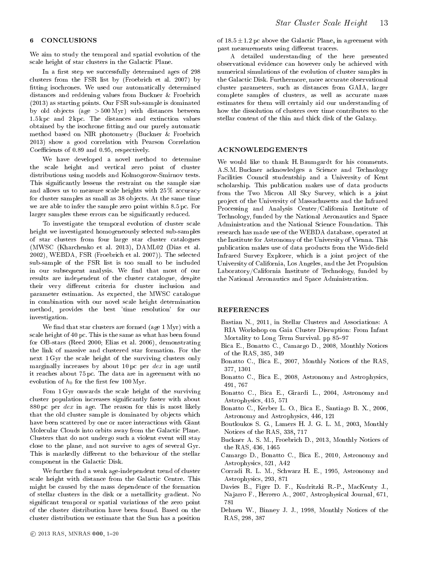#### 6 CONCLUSIONS

We aim to study the temporal and spatial evolution of the scale height of star clusters in the Galactic Plane.

In a first step we successfully determined ages of 298 clusters from the FSR list by (Froebrich et al. 2007) by fitting isochrones. We used our automatically determined distances and reddening values from Buckner & Froebrich (2013) as starting points. Our FSR sub-sample is dominated by old ob je
ts (age > 500 Myr) with distan
es between 1.5 kp and 2 kp
. The distan
es and extin
tion values obtained by the isochrone fitting and our purely automatic method based on NIR photometry (Bu
kner & Froebri
h 2013) show a good orrelation with Pearson Correlation Coefficients of 0.89 and 0.95, respectively.

We have developed a novel method to determine the s
ale height and verti
al zero point of luster distributions using models and Kolmogorow-Smirnov tests. This significantly lessens the restraint on the sample size and allows us to measure scale heights with 25 % accuracy for cluster samples as small as 38 objects. At the same time we are able to infer the sample zero point within 8.5 p
. For larger samples these errors can be significantly reduced.

To investigate the temporal evolution of luster s
ale height we investigated homogeneously sele
ted sub-samples of star lusters from four large star luster atalogues (MWSC (Kharchenko et al. 2013), DAML02 (Dias et al. 2002), WEBDA, FSR (Froebri
h et al. 2007)). The sele
ted sub-sample of the FSR list is too small to be in
luded in our subsequent analysis. We find that most of our results are independent of the luster atalogue, despite their very different criteria for cluster inclusion and parameter estimation. As expe
ted, the MWSC atalogue in ombination with our novel s
ale height determination method, provides the best 'time resolution' for our investigation.

We find that star clusters are formed (age  $1 \,\mathrm{Myr}$ ) with a s
ale height of 40 p
. This is the same as what has been found for OB-stars (Reed 2000; Elias et al. 2006), demonstrating the link of massive and lustered star formation. For the next 1 Gyr the s
ale height of the surviving lusters only marginally increases by about 10 pc per  $dex$  in age until it rea
hes about 75 p
. The data are in agreement with no evolution of  $h_0$  for the first few 100 Myr.

Fom 1 Gyr onwards the s
ale height of the surviving cluster population increases significantly faster with about  $880 \,\mathrm{pc}$  per dex in age. The reason for this is most likely that the old cluster sample is dominated by objects which have been scattered by one or more interactions with Giant Molecular Clouds into orbits away from the Galactic Plane. Clusters that do not undergo su
h a violent event will stay close to the plane, and not survive to ages of several Gyr. This is markedly different to the behaviour of the stellar component in the Galactic Disk.

We further find a weak age-independent trend of cluster scale height with distance from the Galactic Centre. This might be aused by the mass dependen
e of the formation of stellar lusters in the disk or a metalli
ity gradient. No significant temporal or spatial variations of the zero point of the luster distribution have been found. Based on the luster distribution we estimate that the Sun has a position

A detailed understanding of the here presented observational eviden
e an however only be a
hieved with numeri
al simulations of the evolution of luster samples in the Galactic Disk. Furthermore, more accurate observational cluster parameters, such as distances from GAIA, larger complete samples of clusters, as well as accurate mass estimates for them will ertainly aid our understanding of how the dissolution of clusters over time contributes to the stellar ontent of the thin and thi
k disk of the Galaxy.

#### ACKNOWLEDGEMENTS

We would like to thank H. Baumgardt for his omments. A.S.M. Buckner acknowledges a Science and Technology Facilities Council studentship and a University of Kent scholarship. This publication makes use of data products from the Two Micron All Sky Survey, which is a joint project of the University of Massachusetts and the Infrared Pro
essing and Analysis Center/California Institute of Technology, funded by the National Aeronautics and Space Administration and the National Science Foundation. This resear
h has made use of the WEBDA database, operated at the Institute for Astronomy of the University of Vienna. This publication makes use of data products from the Wide-field Infrared Survey Explorer, which is a joint project of the University of California, Los Angeles, and the Jet Propulsion Laboratory/California Institute of Technology, funded by the National Aeronauti
s and Spa
e Administration.

#### REFERENCES

- Bastian N., 2011, in Stellar Clusters and Asso
iations: A RIA Workshop on Gaia Cluster Disruption: From Infant Mortality to Long Term Survival. pp 85-97
- Bica E., Bonatto C., Camargo D., 2008, Monthly Notices of the RAS, 385, 349
- Bonatto C., Bi
a E., 2007, Monthly Noti
es of the RAS, 377, 1301
- Bonatto C., Bi
a E., 2008, Astronomy and Astrophysi
s, 491, 767
- Bonatto C., Bi
a E., Girardi L., 2004, Astronomy and Astrophysi
s, 415, 571
- Bonatto C., Kerber L. O., Bi
a E., Santiago B. X., 2006, Astronomy and Astrophysi
s, 446, 121
- Boutloukos S. G., Lamers H. J. G. L. M., 2003, Monthly Noti
es of the RAS, 338, 717
- Bu
kner A. S. M., Froebri
h D., 2013, Monthly Noti
es of the RAS, 436, 1465
- Camargo D., Bonatto C., Bi
a E., 2010, Astronomy and Astrophysi
s, 521, A42
- Corradi R. L. M., S
hwarz H. E., 1995, Astronomy and Astrophysi
s, 293, 871
- Davies B., Figer D. F., Kudritzki R.-P., Ma
Kenty J., Na jarro F., Herrero A., 2007, Astrophysi
al Journal, 671, 781
- Dehnen W., Binney J. J., 1998, Monthly Noti
es of the RAS, 298, 387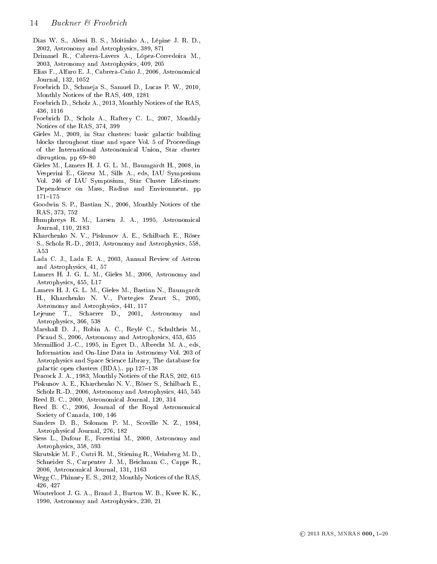- Dias W. S., Alessi B. S., Moitinho A., Lépine J. R. D., 2002, Astronomy and Astrophysi
s, 389, 871
- Drimmel R., Cabrera-Lavers A., López-Corredoira M., 2003, Astronomy and Astrophysi
s, 409, 205
- Elias F., Alfaro E. J., Cabrera-Caño J., 2006, Astronomi
al Journal, 132, 1052
- Froebri
h D., S
hmeja S., Samuel D., Lu
as P. W., 2010, Monthly Noti
es of the RAS, 409, 1281
- Froebrich D., Scholz A., 2013, Monthly Notices of the RAS, 436, 1116
- Froebri
h D., S
holz A., Raftery C. L., 2007, Monthly Noti
es of the RAS, 374, 399
- Gieles M., 2009, in Star clusters: basic galactic building blo
ks throughout time and spa
e Vol. 5 of Pro
eedings of the International Astronomi
al Union, Star luster disruption. pp  $69-80$
- Gieles M., Lamers H. J. G. L. M., Baumgardt H., 2008, in Vesperini E., Giersz M., Sills A., eds, IAU Symposium Vol. 246 of IAU Symposium, Star Cluster Life-times: Dependen
e on Mass, Radius and Environment. pp  $171 - 175$
- Goodwin S. P., Bastian N., 2006, Monthly Noti
es of the RAS, 373, 752
- Humphreys R. M., Larsen J. A., 1995, Astronomi
al Journal, 110, 2183
- Khar
henko N. V., Piskunov A. E., S
hilba
h E., Röser S., S
holz R.-D., 2013, Astronomy and Astrophysi
s, 558, A53
- Lada C. J., Lada E. A., 2003, Annual Review of Astron and Astrophysi
s, 41, 57
- Lamers H. J. G. L. M., Gieles M., 2006, Astronomy and Astrophysi
s, 455, L17
- Lamers H. J. G. L. M., Gieles M., Bastian N., Baumgardt H., Khar
henko N. V., Portegies Zwart S., 2005, Astronomy and Astrophysi
s, 441, 117
- Lejeune T., Schaerer D., 2001, Astronomy and Astrophysi
s, 366, 538
- Marshall D. J., Robin A. C., Reylé C., S
hultheis M., Picaud S., 2006, Astronomy and Astrophysics, 453, 635
- Mermilliod J.-C., 1995, in Egret D., Albre
ht M. A., eds, Information and On-Line Data in Astronomy Vol. 203 of Astrophysi
s and Spa
e S
ien
e Library, The database for galactic open clusters (BDA).. pp 127-138
- Peacock J. A., 1983, Monthly Notices of the RAS, 202, 615
- Piskunov A. E., Kharchenko N. V., Röser S., Schilbach E., Scholz R.-D., 2006, Astronomy and Astrophysics, 445, 545
- Reed B. C., 2000, Astronomi
al Journal, 120, 314
- Reed B. C., 2006, Journal of the Royal Astronomi
al Society of Canada, 100, 146
- Sanders D. B., Solomon P. M., Scoville N. Z., 1984, Astrophysi
al Journal, 276, 182
- Siess L., Dufour E., Forestini M., 2000, Astronomy and Astrophysi
s, 358, 593
- Skrutskie M. F., Cutri R. M., Stiening R., Weinberg M. D., S
hneider S., Carpenter J. M., Bei
hman C., Capps R., 2006, Astronomi
al Journal, 131, 1163
- Wegg C., Phinney E. S., 2012, Monthly Noti
es of the RAS, 426, 427
- Wouterloot J. G. A., Brand J., Burton W. B., Kwee K. K., 1990, Astronomy and Astrophysi
s, 230, 21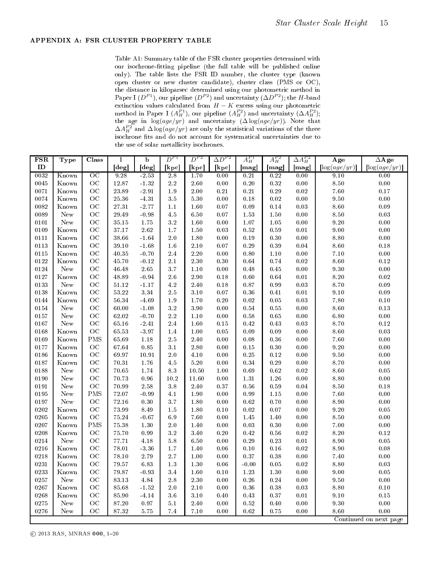#### APPENDIX A: FSR CLUSTER PROPERTY TABLE

Table A1: Summary table of the FSR luster properties determined with our isochrone-fitting pipeline (the full table will be published online only). The table lists the FSR ID number, the cluster type (known open cluster or new cluster candidate), cluster class (PMS or OC), Paper I  $(D^{P_1})$ , our pipeline  $(D^{P_2})$  and uncertainty  $(\Delta D^{P_2})$ ; the H-band extinction values calculated from  $H - K$  excess using our photometric method in Paper I  $(A_H^{P1})$ , our pipeline  $(A_H^{P2})$  and uncertainty  $(\Delta A_H^{P2})$ ; the age in  $\log(age/yr)$  and uncertainty  $(\Delta \log(age/yr))$ . Note that  $\Delta A^{P2}_H$  and  $\Delta \log(age/yr)$  are only the statistical variations of the three isochrone fits and do not account for systematical uncertainties due to the use of solar metallicity isochrones.

| <b>FSR</b> | Type           | <b>Class</b>    | 1         | $\overline{\mathbf{b}}$ | $D^{P1}$ | $D^{P2}$ | $\Delta D^{P2}$ | $A_H^{P1}$ | $A_H^{P2}$ | $\Delta A^{P2}_H$ | Age                 | $\overline{\Delta \text{Age}}$ |
|------------|----------------|-----------------|-----------|-------------------------|----------|----------|-----------------|------------|------------|-------------------|---------------------|--------------------------------|
| ID         |                |                 | [deg]     | [deg]                   | [kpc]    | [kpc]    | [kpc]           | [mag]      | [mag]      | [mag]             | $\log(age/yr)$      | $\log(age/yr)$                 |
| 0032       | Known          | $\overline{OC}$ | 9.28      | $-2.53$                 | 2.8      | 1.70     | 0.00            | 0.21       | 0.22       | 0.00              | 9.10                | 0.00                           |
| 0045       | Known          | OC              | 12.87     | $-1.32$                 | $2.2\,$  | 2.60     | $0.00\,$        | 0.20       | 0.32       | $0.00\,$          | 8.50                | $0.00\,$                       |
| 0071       | Known          | OC              | 23.89     | $-2.91$                 | $1.9\,$  | 2.00     | 0.21            | 0.21       | 0.29       | 0.02              | 7.60                | $0.17\,$                       |
| 0074       | Known          | OC              | 25.36     | $-4.31$                 | $3.5\,$  | 5.30     | 0.00            | $0.18\,$   | $\rm 0.02$ | $0.00\,$          | 9.50                | $0.00\,$                       |
| 0082       | Known          | OC              | 27.31     | $-2.77$                 | $1.1\,$  | 1.60     | 0.07            | 0.09       | 0.14       | 0.03              | 8.60                | $0.09\,$                       |
| 0089       | ${\hbox{New}}$ | OC              | 29.49     | $-0.98$                 | $4.5\,$  | 6.50     | 0.07            | 1.53       | $1.50\,$   | $0.00\,$          | 8.50                | 0.03                           |
| 0101       | New            | OC              | $35.15\,$ | 1.75                    | $3.2\,$  | 1.60     | 0.00            | 1.07       | $1.05\,$   | $0.00\,$          | 9.20                | $0.00\,$                       |
| 0109       | Known          | OC              | 37.17     | $2.62\,$                | $1.7\,$  | 1.50     | 0.03            | $\rm 0.52$ | $0.59\,$   | $0.01\,$          | $9.00\,$            | $0.00\,$                       |
| 0111       | Known          | OC              | 38.66     | $-1.64$                 | $2.0\,$  | 1.80     | 0.00            | 0.19       | 0.30       | $0.00\,$          | $8.80\,$            | $0.00\,$                       |
| 0113       | Known          | OC              | 39.10     | $-1.68$                 | 1.6      | 2.10     | 0.07            | 0.29       | 0.39       | 0.04              | $8.60\,$            | $0.18\,$                       |
| 0115       | Known          | OC              | 40.35     | $-0.70$                 | 2.4      | 2.20     | 0.00            | 0.80       | $1.10\,$   | $0.00\,$          | 7.10                | $0.00\,$                       |
| 0122       | Known          | OC              | 45.70     | $-0.12$                 | 2.1      | 2.30     | 0.30            | 0.64       | 0.74       | $0.02\,$          | 8.60                | $0.12\,$                       |
| 0124       | New            | OC              | 46.48     | $2.65\,$                | 3.7      | $1.10\,$ | 0.00            | 0.48       | $0.45\,$   | $0.00\,$          | $\boldsymbol{9.30}$ | $0.00\,$                       |
| 0127       | Known          | OC              | $48.89\,$ | $-0.94$                 | 2.6      | $2.90\,$ | 0.18            | $0.60\,$   | 0.64       | $0.01\,$          | $8.20\,$            | $0.02\,$                       |
| 0133       | New            | OC              | $51.12\,$ | $-1.17$                 | $4.2\,$  | 2.40     | 0.18            | 0.87       | 0.99       | 0.03              | 8.70                | 0.09                           |
| 0138       | Known          | OC              | $53.22\,$ | $3.34\,$                | $2.5\,$  | 3.10     | 0.07            | $\rm 0.36$ | $0.41\,$   | $0.01\,$          | 9.10                | $0.09\,$                       |
| 0144       | Known          | OC              | 56.34     | $-4.69$                 | $1.9\,$  | 1.70     | 0.20            | $\rm 0.02$ | $\rm 0.05$ | 0.03              | 7.80                | $0.10\,$                       |
| 0154       | New            | OC              | 60.00     | $-1.08$                 | $3.2\,$  | 3.90     | 0.00            | 0.54       | $0.55\,$   | $0.00\,$          | $8.60\,$            | $0.13\,$                       |
| 0157       | New            | OC              | 62.02     | $-0.70$                 | $2.2\,$  | 1.10     | 0.00            | 0.58       | 0.65       | 0.00              | 6.80                | $0.00\,$                       |
| 0167       | New            | OC              | 65.16     | $-2.41$                 | 2.4      | 1.60     | 0.15            | 0.42       | 0.43       | 0.03              | 8.70                | $0.12\,$                       |
| 0168       | Known          | OC              | 65.53     | $-3.97$                 | $1.4\,$  | 1.00     | 0.05            | 0.09       | $0.09\,$   | $0.00\,$          | 8.60                | $0.03\,$                       |
| 0169       | Known          | <b>PMS</b>      | 65.69     | 1.18                    | $2.5\,$  | 2.40     | 0.00            | 0.08       | 0.36       | $0.00\,$          | 7.60                | $0.00\,$                       |
| 0177       | Known          | OC              | 67.64     | 0.85                    | 3.1      | $2.80\,$ | 0.00            | 0.15       | $0.30\,$   | 0.00              | 9.20                | $0.00\,$                       |
| 0186       | Known          | OC              | 69.97     | 10.91                   | $2.0\,$  | 4.10     | 0.00            | 0.25       | 0.12       | $0.00\,$          | $\boldsymbol{9.50}$ | $0.00\,$                       |
| 0187       | Known          | OC              | 70.31     | 1.76                    | 4.5      | 5.20     | 0.00            | 0.34       | 0.29       | 0.00              | 8.70                | $0.00\,$                       |
| 0188       | ${\hbox{New}}$ | OC              | 70.65     | 1.74                    | $8.3\,$  | 10.50    | 1.00            | 0.69       | $\rm 0.62$ | $\rm 0.02$        | 8.60                | $0.05\,$                       |
| 0190       | ${\hbox{New}}$ | OC              | 70.73     | $\rm 0.96$              | $10.2\,$ | 11.60    | 0.00            | $1.31\,$   | 1.26       | $0.00\,$          | $8.80\,$            | $0.00\,$                       |
| 0191       | ${\hbox{New}}$ | OC              | 70.99     | 2.58                    | $3.8\,$  | 2.40     | 0.37            | $0.56\,$   | 0.59       | 0.04              | 8.50                | $0.18\,$                       |
| 0195       | ${\hbox{New}}$ | <b>PMS</b>      | 72.07     | $-0.99$                 | 4.1      | 1.90     | 0.00            | 0.99       | 1.15       | $0.00\,$          | $7.60\,$            | $0.00\,$                       |
| 0197       | New            | OC              | 72.16     | 0.30                    | 3.7      | 1.80     | 0.00            | 0.62       | 0.70       | 0.00              | 8.90                | $0.00\,$                       |
| 0202       | Known          | OC              | 73.99     | 8.49                    | $1.5\,$  | 1.80     | 0.10            | 0.02       | 0.07       | 0.00              | 9.20                | $0.05\,$                       |
| 0205       | Known          | OC              | 75.24     | $-0.67$                 | $6.9\,$  | 7.60     | 0.00            | 1.45       | 1.40       | 0.00              | 8.50                | $0.00\,$                       |
| 0207       | Known          | <b>PMS</b>      | 75.38     | 1.30                    | $2.0\,$  | 1.40     | 0.00            | $\rm 0.03$ | $0.30\,$   | $0.00\,$          | $7.00\,$            | $0.00\,$                       |
| 0208       | Known          | OC              | 75.70     | 0.99                    | 3.2      | 3.40     | 0.20            | 0.42       | 0.56       | $0.02\,$          | 8.20                | $0.12\,$                       |
| 0214       | New            | OC              | 77.71     | 4.18                    | 5.8      | 6.50     | 0.00            | 0.29       | 0.23       | $0.01\,$          | 8.90                | $0.05\,$                       |
| 0216       | Known          | OC              | 78.01     | $-3.36$                 | 1.7      | 1.40     | 0.06            | $0.10\,$   | 0.16       | $\rm 0.02$        | 8.90                | $0.08\,$                       |
| 0218       | Known          | OC              | 78.10     | 2.79                    | 2.7      | 1.00     | 0.00            | 0.37       | 0.38       | $0.00\,$          | 7.40                | $0.00\,$                       |
| 0231       | Known          | OC              | 79.57     | 6.83                    | $1.3\,$  | 1.30     | 0.06            | $-0.00$    | 0.05       | $\rm 0.02$        | 8.80                | $0.03\,$                       |
| 0233       | Known          | OC              | 79.87     | $-0.93$                 | 3.4      | 1.60     | 0.10            | 1.23       | 1.30       | $0.00\,$          | 9.00                | $0.05\,$                       |
| 0257       | ${\hbox{New}}$ | OC              | $83.13\,$ | 4.84                    | $2.8\,$  | 2.30     | 0.00            | 0.26       | 0.24       | 0.00              | 9.50                | $0.00\,$                       |
| 0267       | Known          | OC              | 85.68     | $-1.52$                 | $2.0\,$  | 2.10     | 0.00            | 0.36       | 0.38       | 0.03              | $8.80\,$            | $0.10\,$                       |
| 0268       | Known          | OC              | 85.90     | $-4.14$                 | 3.6      | 3.10     | 0.40            | 0.43       | $0.37\,$   | $0.01\,$          | 9.10                | 0.15                           |
| 0275       | New            | OC              | 87.20     | $0.97\,$                | 5.1      | 2.40     | $0.00\,$        | 0.52       | $0.40\,$   | $0.00\,$          | $9.30\,$            | $0.00\,$                       |
| 0276       | New            | OС              | 87.32     | 5.75                    | 7.4      | 7.10     | 0.00            | 0.62       | 0.75       | 0.00              | 8.60                | 0.00                           |
|            |                |                 |           |                         |          |          |                 |            |            |                   |                     | Continued on next page         |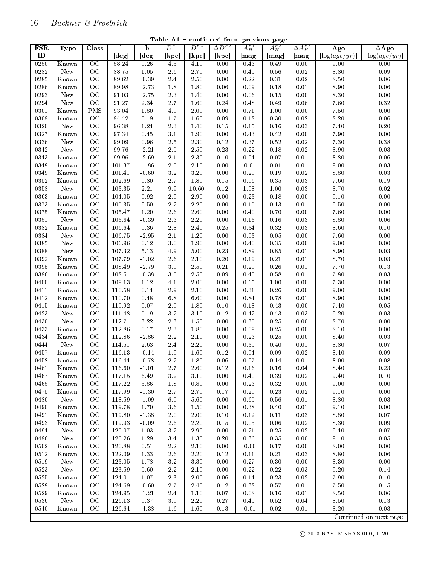| <b>FSR</b> | <b>Type</b>            | Class           | 1          | b        | $D^{P1}$   | $D^{P2}$         | $\Delta D^{P2}$ | $A_H^{P1}$ | $A_H^{P2}$ | $\Delta A_H^{P2}$ | $\overline{\rm Age}$ | $\Delta$ Age                 |
|------------|------------------------|-----------------|------------|----------|------------|------------------|-----------------|------------|------------|-------------------|----------------------|------------------------------|
| ID         |                        |                 | [deg]      | [deg]    | [kpc]      | $[\mathrm{kpc}]$ | [kpc]           | [mag]      | [mag]      | [mag]             | $\log(age/yr)$       | $\lceil \log(age/yr) \rceil$ |
| 0280       | Known                  | $\overline{OC}$ | 88.24      | 0.26     | 4.5        | 4.10             | 0.00            | 0.43       | 0.49       | 0.00              | 9.00                 | 0.00                         |
| 0282       | New                    | OC              | 88.75      | 1.05     | $2.6\,$    | 2.70             | 0.00            | 0.45       | 0.56       | $0.02\,$          | $8.80\,$             | 0.09                         |
| 0285       | Known                  | OC              | 89.62      | $-0.39$  | 2.4        | $2.50\,$         | $0.00\,$        | $0.22\,$   | $0.31\,$   | $0.02\,$          | $8\ 50$              | $0.06\,$                     |
| 0286       | Known                  | OC              | 89.98      | $-2.73$  | 1.8        | 1.80             | 0.06            | 0.09       | 0.18       | 0.01              | 8.90                 | 0.06                         |
| 0293       | New                    | OC              | 91.03      | -2.75    | $2.3\,$    | 1.40             | 0.00            | 0.06       | $0.15\,$   | 0.00              | $8.30\,$             | 0.00                         |
| 0294       | New                    | OC              | 91.27      | $2.34\,$ | 2.7        | 1.60             | $0.24\,$        | 0.48       | $0.49\,$   | $0.06\,$          | $7.60\,$             | $0.32\,$                     |
| 0301       | Known                  | <b>PMS</b>      | 93.04      | 1.80     | 4.0        | $2.00\,$         | 0.00            | 0.71       | $1.00\,$   | $0.00\,$          | $7.50\,$             | 0.00                         |
| 0309       | $\operatorname{Known}$ | OC              | 94.42      | 0.19     | 1.7        | 1.60             | 0.09            | 0.18       | 0.30       | $0.02\,$          | $8.20\,$             | $0.06\,$                     |
| 0320       | New                    | OC              | 96.38      | 1.24     | $2.3\,$    | 1.40             | $0.15\,$        | $0.15\,$   | 0.16       | $0.03\,$          | $7.40\,$             | $0.20\,$                     |
| 0327       | Known                  | OC              | 97.34      | $0.45\,$ | 3.1        | 1.90             | $0.00\,$        | 0.43       | $0.42\,$   | 0.00              | $7.90\,$             | 0.00                         |
| 0336       | New                    | OC              | 99.09      | $0.96\,$ | 2.5        | 2.30             | $0.12\,$        | 0.37       | $\rm 0.52$ | $0.02\,$          | $7.30\,$             | $0.38\,$                     |
| 0342       | New                    | OC              | 99.76      | $-2.21$  | $2.5\,$    | $2.50\,$         | 0.23            | 0.22       | $0.18\,$   | $0.02\,$          | $8.90\,$             | 0.03                         |
| 0343       | Known                  | OC              | 99.96      | $-2.69$  | 2.1        | $2.30\,$         | 0.10            | 0.04       | $0.07\,$   | 0.01              | $8.80\,$             | 0.06                         |
| 0348       | Known                  | OC              | 101.37     | $-1.86$  | 2.0        | $2.10\,$         | 0.00            | $-0.01$    | $0.01\,$   | 0.01              | $9.00\,$             | $\rm 0.03$                   |
| 0349       | Known                  | OC              | 101.41     | $-0.60$  | $3.2\,$    | $3.20\,$         | $0.00\,$        | $0.20\,$   | 0.19       | $0.02\,$          | $8.80\,$             | 0.03                         |
| 0352       | Known                  | OC              | 102.69     | $0.80\,$ | 2.7        | 1.80             | $0.15\,$        | $0.06\,$   | $0.35\,$   | 0.03              | $7.60\,$             | $0.19\,$                     |
| 0358       | New                    | OC              | 103.35     | $2.21\,$ | 9.9        | 10.60            | 0.12            | 1.08       | $1.00\,$   | 0.03              | $8.70\,$             | $0.02\,$                     |
| 0363       | Known                  | OC              | 104.05     | 0.92     | 2.9        | $2.90\,$         | 0.00            | 0.23       | 0.18       | $0.00\,$          | $9.10\,$             | 0.00                         |
| 0373       | Known                  | OC              | 105.35     | $9.50\,$ | 2.2        | $2.20\,$         | 0.00            | 0.15       | $0.13\,$   | $0.01\,$          | $9.50\,$             | 0.00                         |
| 0375       | Known                  | OC              | 105.47     | $1.20\,$ | 2.6        | 2.60             | $0.00\,$        | 0.40       | $0.70\,$   | $0.00\,$          | $7.60\,$             | $0.00\,$                     |
| 0381       | New                    | OC              | 106.64     | $-0.39$  | $2.3\,$    | $2.20\,$         | $0.00\,$        | 0.16       | 0.16       | 0.03              | $8.80\,$             | $0.06\,$                     |
|            |                        | OC              |            |          |            |                  |                 |            |            |                   |                      |                              |
| 0382       | Known                  |                 | 106.64     | $0.36\,$ | 2.8<br>2.1 | 2.40             | 0.25            | 0.34       | $0.32\,$   | 0.03              | $8.60\,$             | $0.10\,$                     |
| 0384       | New                    | OC              | 106.75     | $-2.95$  | $3.0\,$    | $1.20\,$         | $0.00\,$        | 0.03       | $0.05\,$   | $0.00\,$          | $7.60\,$             | $0.00\,$                     |
| 0385       | New                    | OC              | 106.96     | 0.12     |            | 1.90             | 0.00            | $0.40\,$   | $\rm 0.35$ | $0.00\,$          | 9.00                 | $0.00\,$                     |
| 0388       | New                    | OC              | 107.32     | $5.13\,$ | 4.9        | $5.00\,$         | $0.23\,$        | 0.89       | $0.85\,$   | 0.01              | $8.90\,$             | $\rm 0.03$                   |
| 0392       | Known                  | OC              | 107.79     | $-1.02$  | 2.6        | $2.10\,$         | $0.20\,$        | 0.19       | $0.21\,$   | 0.01              | $8.70\,$             | $\rm 0.03$                   |
| 0395       | Known                  | OC              | 108.49     | $-2.79$  | 3.0        | $2.50\,$         | $0.21\,$        | 0.20       | 0.26       | $0.01\,$          | $7.70\,$             | $0.13\,$                     |
| 0396       | Known                  | OC              | 108.51     | $-0.38$  | 3.0        | $2.50\,$         | 0.09            | 0.40       | $0.58\,$   | 0.01              | $7\,80$              | 0.03                         |
| 0400       | Known                  | OC              | 109.13     | $1.12\,$ | 4.1        | $2.00\,$         | $0.00\,$        | 0.65       | $1.00\,$   | $0.00\,$          | $7.30\,$             | $0.00\,$                     |
| 0411       | Known                  | OC              | 110.58     | 0.14     | 2.9        | $2.10\,$         | 0.00            | 0.31       | 0.26       | $0.00\,$          | $9.00\,$             | 0.00                         |
| 0412       | Known                  | OC              | 110.70     | 0.48     | 6.8        | 6.60             | 0.00            | 0.84       | 0.78       | 0.01              | $8.90\,$             | 0.00                         |
| 0415       | Known                  | OC              | 110.92     | $0.07\,$ | 2.0        | 1.80             | $0.10\,$        | $0.18\,$   | 0.43       | 0.00              | $7.40\,$             | $0.05\,$                     |
| 0423       | New                    | OC              | 111.48     | $5.19\,$ | $3.2\,$    | $3.10\,$         | $0.12\,$        | $0.42\,$   | 0.43       | 0.03              | $9\!\cdot\!20$       | 0.03                         |
| 0430       | New                    | OC              | 112.71     | $3.22\,$ | 2.3        | 1.50             | 0.00            | 0.30       | 0.25       | 0.00              | $8.70\,$             | 0.00                         |
| 0433       | Known                  | OC              | 112.86     | $0.17\,$ | 2.3        | $1.80\,$         | $0.00\,$        | 0.09       | 0.25       | $0.00\,$          | $8.10\,$             | $0.00\,$                     |
| 0434       | Known                  | OC              | 112.86     | $-2.86$  | $2.2\,$    | $2.10\,$         | 0.00            | 0.23       | 0.25       | $0.00\,$          | $8.40\,$             | $0.03\,$                     |
| 0444       | ${\hbox{New}}$         | OC              | 114.51     | 2.63     | 2.4        | $2.20\,$         | $0.00\,$        | $0.35\,$   | 0.40       | 0.01              | $8.80\,$             | $0.07\,$                     |
| 0457       | Known                  | OC              | 116.13     | $-0.14$  | 1.9        | 1.60             | 0.12            | 0.04       | 0.09       | $0.02\,$          | $8.40\,$             | 0.09                         |
| 0458       | Known                  | OC              | 116.44     | $-0.78$  | $2.2\,$    | 1.80             | 0.06            | 0.07       | 0.14       | 0.01              | 8.00                 | 0.08                         |
| 0461       | Known                  | OC              | 116.60     | $-1.01$  | $2.7\,$    | $2.60\,$         | $0.12\,$        | $0.16\,$   | $0.16\,$   | 0.04              | $8.40\,$             | $0.23\,$                     |
| 0467       | Known                  | OC              | 117.15     | 6.49     | $3.2\,$    | $3.10\,$         | $0.00\,$        | $0.40\,$   | 0.39       | $0.02\,$          | $9.40\,$             | $0.10\,$                     |
| 0468       | Known                  | OC              | 117.22     | $5.86\,$ | $1.8\,$    | 0.80             | $0.00\,$        | $0.23\,$   | $0.32\,$   | $0.00\,$          | $9.00\,$             | $0.00\,$                     |
| 0475       | Known                  | OC              | 117.99     | $-1.30$  | $2.7\,$    | 2.70             | 0.17            | $0.20\,$   | 0.23       | $0.02\,$          | $9.10\,$             | $0.00\,$                     |
| 0480       | New                    | OC              | 118.59     | $-1.09$  | $6.0\,$    | 5.60             | $0.00\,$        | 0.65       | 0.56       | $0.01\,$          | $8.80\,$             | 0.03                         |
| 0490       | Known                  | OC              | 119.78     | $1.70\,$ | 3.6        | 1.50             | $0.00\,$        | $0.38\,$   | 0.40       | 0.01              | $9.10\,$             | 0.00                         |
| 0491       | Known                  | OC              | 119.80     | $-1.38$  | $2.0\,$    | $2.00\,$         | $0.10\,$        | $0.12\,$   | 0.11       | 0.03              | $8.80\,$             | $0.07\,$                     |
| 0493       | Known                  | OC              | 119.93     | $-0.09$  | $2.6\,$    | $2.20\,$         | $0.15\,$        | $0.05\,$   | $0.06\,$   | $0.02\,$          | $8.30\,$             | $0.09\,$                     |
| 0494       | New                    | OC              | 120.07     | 1.03     | $3.2\,$    | 2.90             | $0.00\,$        | $0.21\,$   | 0.25       | $0.02\,$          | $9.40\,$             | $0.07\,$                     |
| 0496       | ${\hbox{New}}$         | OC              | 120.26     | 1.29     | 3.4        | 1.30             | $0.20\,$        | $0.36\,$   | 0.35       | $0.00\,$          | $9.10\,$             | $0.05\,$                     |
| 0502       | Known                  | OC              | 120.88     | 0.51     | $2.2\,$    | 2.10             | $0.00\,$        | $-0.00$    | 0.17       | $0.00\,$          | $8.00\,$             | 0.00                         |
| 0512       | Known                  | OC              | 122.09     | 1.33     | $2.6\,$    | $2.20\,$         | $0.12\,$        | $0.11\,$   | $0.21\,$   | 0.03              | $8.80\,$             | 0.06                         |
| 0519       | New                    | OC              | $123.05\,$ | 1.78     | $3\,2$     | $3.30\,$         | $0.00\,$        | $0.27\,$   | $0.30\,$   | $0.00\,$          | $8\ 30$              | $0.00\,$                     |
| 0523       | ${\hbox{New}}$         | OC              | 123.59     | 5.60     | $2.2\,$    | $2.10\,$         | 0.00            | 0.22       | $0.22\,$   | 0.03              | $9.20\,$             | $0.14\,$                     |
| 0525       | Known                  | OC              | 124.01     | 1.07     | $2.3\,$    | $2.00\,$         | $0.06\,$        | $0.14\,$   | 0.23       | 0.02              | $7.90\,$             | $0.10\,$                     |
| 0528       | Known                  | OC              | 124.69     | $-0.60$  | $2.7\,$    | 2.40             | $0.12\,$        | 0.38       | 0.57       | $0.01\,$          | 7.50                 | $0.15\,$                     |
| 0529       | Known                  | OC              | 124.95     | $-1.21$  | $2.4\,$    | 1.10             | $0.07\,$        | 0.08       | $0.16\,$   | $0.01\,$          | $8.50\,$             | $0.06\,$                     |
| 0536       | New                    | OC              | 126.13     | 0.37     | $3.0\,$    | $2.20\,$         | $0.27\,$        | $0.45\,$   | $0.52\,$   | 0.04              | $8.50\,$             | $0.13\,$                     |
| 0540       | Known                  | OC              | 126.64     | $-4.38$  | 1.6        | 1.60             | 0.13            | $-0.01$    | $0.02\,$   | $0.01\,$          | $8.20\,$             | 0.03                         |

Table  $A1$  – continued from previous page

 $\odot$  2013 RAS, MNRAS 000, 1–20

Continued on next page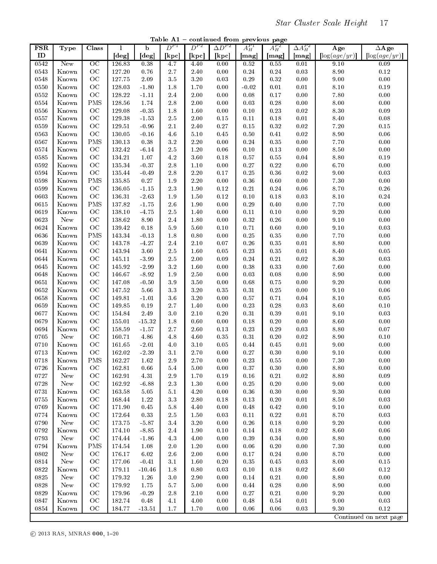Table  $A1$  – continued from previous page

| <b>FSR</b> | <b>Type</b>            | Class           | 1      | $\overline{b}$             | $D^{P1}$ | $D^{P2}$ | $\Delta D^{P2}$ | $A_H^{P1}$ | $A_H^{P2}$ | $\Delta A_H^{P2}$ | Age            | $\Delta$ Age                 |
|------------|------------------------|-----------------|--------|----------------------------|----------|----------|-----------------|------------|------------|-------------------|----------------|------------------------------|
| ID         |                        |                 | [deg]  | $\lceil \text{deg} \rceil$ | [kpc]    | [kpc]    | [kpc]           | [mag]      | [mag]      | [mag]             | $\log(age/yr)$ | $\lceil \log(age/yr) \rceil$ |
| 0542       | New                    | $\overline{OC}$ | 126.83 | 0.38                       | 4.7      | 4.40     | 0.00            | 0.52       | 0.55       | 0.01              | 9.10           | 0.09                         |
| 0543       | Known                  | $_{\rm OC}$     | 127.20 | $0.76\,$                   | $2.7\,$  | $2.40\,$ | $0.00\,$        | $0.24\,$   | 0.24       | 0.03              | $8.90\,$       | $0.12\,$                     |
| 0548       | Known                  | OC              | 127.75 | $2.09\,$                   | $3.5\,$  | $3.20\,$ | 0.03            | 0.29       | 0.32       | 0.00              | $9\!\cdot\!00$ | $0.00\,$                     |
| 0550       | Known                  | OC              | 128.03 | $-1.80$                    | 1.8      | 1.70     | 0.00            | $-0.02$    | 0.01       | $0.01\,$          | $8.10\,$       | $0.19\,$                     |
| 0552       | Known                  | OC              | 128.22 | $-1.11$                    | $2.4\,$  | $2.00\,$ | 0.00            | 0.08       | 0.17       | 0.00              | $7.80\,$       | 0.00                         |
| 0554       | Known                  | PMS             | 128.56 | 1.74                       | 2.8      | $2.00\,$ | 0.00            | 0.03       | 0.28       | 0.00              | $8\!\cdot\!00$ | $0.00\,$                     |
| 0556       | Known                  | OC              | 129.08 | $-0.35$                    | 1.8      | 1.60     | 0.00            | 0.10       | 0.23       | $0.02\,$          | $8\ 30$        | $0.09\,$                     |
| 0557       | $\operatorname{Known}$ | OC              | 129.38 | $-1.53$                    | 2.5      | $2.00\,$ | $0.15\,$        | 0.11       | 0.18       | $0.01\,$          | $8.40\,$       | $0.08\,$                     |
| 0559       | $\operatorname{Known}$ | OC              | 129.51 | $-0.96$                    | $2.1\,$  | $2.40\,$ | $0.27\,$        | 0.15       | 0.32       | $0.02\,$          | $7.20\,$       | $0.15\,$                     |
| 0563       | Known                  | $_{\rm OC}$     | 130.05 | $-0.16$                    | 4.6      | $5.10\,$ | 0.45            | $0.50\,$   | 0.41       | $0.02\,$          | $8.90\,$       | 0.06                         |
| 0567       | Known                  | <b>PMS</b>      | 130.13 | 0.38                       | $3.2\,$  | $2.20\,$ | $0.00\,$        | 0.24       | 0.35       | $0.00\,$          | $7.70\,$       | $0.00\,$                     |
| 0574       | Known                  | OC              | 132.42 | $-6.14$                    | 2.5      | $1.20\,$ | 0.06            | 0.10       | 0.13       | 0.00              | $8.50\,$       | $0.00\,$                     |
| 0585       | Known                  | $_{\rm OC}$     | 134.21 | $1.07\,$                   | $4.2\,$  | $3.60\,$ | 0.18            | 0.57       | $0.55\,$   | $0.04\,$          | $8.80\,$       | $0.19\,$                     |
| 0592       | $\operatorname{Known}$ | $_{\rm OC}$     | 135.34 | $-0.37$                    | $2.8\,$  | $1.10\,$ | $0.00\,$        | 0.27       | 0.22       | 0.00              | $6.70\,$       | $0.00\,$                     |
| 0594       | Known                  | $_{\rm OC}$     | 135.44 | $-0.49$                    | 2.8      | $2.20\,$ | 0.17            | 0.25       | 0.36       | $0.02\,$          | $9\!\cdot\!00$ | 0.03                         |
| 0598       | Known                  | <b>PMS</b>      | 135.85 | $0.27\,$                   | 1.9      | $2.20\,$ | $0.00\,$        | 0.36       | 0.60       | $0.00\,$          | $7.30\,$       | 0.00                         |
| 0599       | Known                  | OC              | 136.05 | $-1.15$                    | $2.3\,$  | $1.90\,$ | $0.12\,$        | 0.21       | 0.24       | $0.06\,$          | $8.70\,$       | $0.26\,$                     |
| 0603       | Known                  | OC              | 136.31 | $-2.63$                    | $1.9\,$  | $1.50\,$ | $0.12\,$        | 0.10       | 0.18       | 0.03              | $8.10\,$       | $0.24\,$                     |
| 0615       | Known                  | <b>PMS</b>      | 137.82 | $-1.75$                    | 2.6      | 1.90     | 0.00            | 0.29       | 0.40       | 0.00              | $7.70\,$       | $0.00\,$                     |
| 0619       | Known                  | OC              | 138.10 | $-4.75$                    | 2.5      | $1.40\,$ | 0.00            | 0.11       | 0.10       | $0.00\,$          | $9.20\,$       | 0.00                         |
| 0623       | New                    | $_{\rm OC}$     | 138.62 | $8.90\,$                   | 2.4      | $1.80\,$ | 0.00            | 0.32       | $0.26\,$   | 0.00              | $9.10\,$       | 0.00                         |
| 0624       | Known                  | OC              | 139.42 | $0.18\,$                   | 5.9      | 5.60     | 0.10            | 0.71       | 0.60       | 0.00              | $9.10\,$       | 0.03                         |
| 0636       | Known                  | PMS             | 143.34 | $-0.13$                    | 1.8      | $0.80\,$ | $0.00\,$        | 0.25       | 0.35       | 0.00              | $7.70\,$       | $0.00\,$                     |
| 0639       | Known                  | OC              | 143.78 | $-4.27$                    | $2.4\,$  | $2.10\,$ | $0.07\,$        | 0.26       | 0.35       | $0.01\,$          | $8.80\,$       | $0.00\,$                     |
| 0641       | Known                  | OC              | 143.94 | $3.60\,$                   | $2.5\,$  | 1.60     | $0.05\,$        | 0.23       | 0.35       | $0.01\,$          | $8.40\,$       | $\rm 0.05$                   |
| 0644       | $\operatorname{Known}$ | $_{\rm OC}$     | 145.11 | $-3.99$                    | 2.5      | $2.00\,$ | $0.09\,$        | $0.24\,$   | $0.21\,$   | $0.02\,$          | $8\ 30$        | $0.03\,$                     |
| 0645       | Known                  | OC              | 145.92 | $-2.99$                    | $3.2\,$  | 1.60     | 0.00            | 0.38       | 0.33       | $0.00\,$          | $7.60\,$       | 0.00                         |
| 0648       | Known                  | OC              | 146.67 | 8.92                       | $1.9\,$  | $2.50\,$ | 0.00            | 0.03       | 0.08       | $0.00\,$          | $8.90\,$       | 0.00                         |
| 0651       | Known                  | $_{\rm OC}$     | 147.08 | $-0.50$                    | $3.9\,$  | $3.50\,$ | 0.00            | 0.68       | 0.75       | 0.00              | $9.20\,$       | $0.00\,$                     |
| 0652       | Known                  | $_{\rm OC}$     | 147.52 | 5.66                       | $3.3\,$  | $3.20\,$ | 0.35            | 0.31       | $0.25\,$   | 0.00              | $9.10\,$       | $0.06\,$                     |
| 0658       | Known                  | $_{\rm OC}$     | 149.81 | $-1.01$                    | $3.6\,$  | $3.20\,$ | 0.00            | 0.57       | 0.71       | $0.04\,$          | $8.10\,$       | $0.05\,$                     |
| 0659       | $\operatorname{Known}$ | OC              | 149.85 | $0.19\,$                   | $2.7\,$  | 1.40     | 0.00            | 0.23       | 0.28       | 0.03              | $8.60\,$       | $0.10\,$                     |
| 0677       | Known                  | OC              | 154.84 | $2.49\,$                   | $3.0\,$  | $2.10\,$ | $0.20\,$        | 0.31       | 0.39       | 0.01              | $9.10\,$       | $0.03\,$                     |
| 0679       | Known                  | OC              | 155.01 | $-15.32$                   | 1.8      | 0.60     | $0.00\,$        | 0.18       | $0.20\,$   | $0.00\,$          | $8.60\,$       | 0.00                         |
| 0694       | Known                  | OC              | 158.59 | $-1.57$                    | 2.7      | $2.60\,$ | 0.13            | 0.23       | $0.29\,$   | $0.03\,$          | $8.80\,$       | $0.07\,$                     |
| 0705       | New                    | $_{\rm OC}$     | 160.71 | 4.86                       | 4.8      | $4.60\,$ | 0.35            | 0.31       | $0.20\,$   | $0.02\,$          | $8.90\,$       | $0.10\,$                     |
| 0710       | Known                  | $_{\rm OC}$     | 161.65 | $-2.01$                    | 4.0      | $3.10\,$ | 0.05            | 0.44       | 0.45       | $0.01\,$          | $9\!\cdot\!00$ | $0.00\,$                     |
| 0713       | Known                  | OC              | 162.02 | 2.39                       | 3.1      | $2.70\,$ | 0.00            | 0.27       | 0.30       | 0.00              | $9.10\,$       | 0.00                         |
| 0718       | $\operatorname{Known}$ | <b>PMS</b>      | 162.27 | $1.62\,$                   | $2.9\,$  | $2.70\,$ | 0.00            | 0.23       | 0.55       | 0.00              | $7.30\,$       | $0.00\,$                     |
| 0726       | Known                  | OC              | 162.81 | 0.66                       | $5.4\,$  | $5.00\,$ | 0.00            | $0.37\,$   | 0.30       | 0.00              | $8.80\,$       | 0.00                         |
| 0727       | New                    | OC              | 162.91 | 4.31                       | 2.9      | 1.70     | 0.19            | 0.16       | 0.21       | $0.02\,$          | $8.80\,$       | 0.09                         |
| 0728       | New                    | OC              | 162.92 | $-6.88$                    | $2.3\,$  | 1.30     | 0.00            | $0.25\,$   | $0.20\,$   | 0.00              | $9.00\,$       | $0.00\,$                     |
| 0731       | Known                  | OC              | 163.58 | $5.05\,$                   | 5.1      | 4.20     | 0.00            | $0.36\,$   | 0.30       | 0.00              | $9.30\,$       | $0.00\,$                     |
| 0755       | Known                  | OC              | 168.44 | $1.22\,$                   | $3.3\,$  | $2.80\,$ | 0.18            | 0.13       | 0.20       | 0.01              | $8.50\,$       | 0.03                         |
| 0769       | Known                  | $_{\rm OC}$     | 171.90 | $0.45\,$                   | 5.8      | 4.40     | 0.00            | 0.48       | 0.42       | 0.00              | $9.10\,$       | 0.00                         |
| 0774       | Known                  | OC              | 172.64 | 0.33                       | $2.5\,$  | 1.50     | 0.03            | $0.11\,$   | 0.22       | 0.01              | 8.70           | $0.03\,$                     |
| 0790       | New                    | $_{\rm OC}$     | 173.75 | $-5.87$                    | $3.4\,$  | $3.20\,$ | 0.00            | 0.26       | 0.18       | 0.00              | $9.20\,$       | $0.00\,$                     |
| 0792       | Known                  | OC              | 174.10 | $-8.85$                    | 2.4      | 1.90     | 0.10            | 0.14       | 0.18       | 0.02              | $8.60\,$       | $0.06\,$                     |
| 0793       | New                    | OC              | 174.44 | $-1.86$                    | 4.3      | 4.00     | 0.00            | 0.39       | 0.34       | 0.00              | $8.80\,$       | $0.00\,$                     |
| 0794       | Known                  | <b>PMS</b>      | 174.54 | 1.08                       | $2.0\,$  | 1.20     | 0.00            | 0.06       | 0.20       | 0.00              | $7.30\,$       | 0.00                         |
| 0802       | New                    | $_{\rm OC}$     | 176.17 | $6.02\,$                   | 2.6      | $2.00\,$ | 0.00            | $0.17\,$   | 0.24       | 0.00              | 8.70           | $0.00\,$                     |
| 0814       | New                    | OC              | 177.06 | $-0.41$                    | 3.1      | $1.60\,$ | 0.20            | $0.35\,$   | 0.45       | $0.03\,$          | $8\!\cdot\!00$ | $0.15\,$                     |
| 0822       | Known                  | $_{\rm OC}$     | 179.11 | $-10.46$                   | $1.8\,$  | $0.80\,$ | 0.03            | $0.10\,$   | 0.18       | $0.02\,$          | $8.60\,$       | $0.12\,$                     |
| 0825       | New                    | $_{\rm OC}$     | 179.32 | $1.26\,$                   | $3.0\,$  | 2.90     | 0.00            | 0.14       | 0.21       | 0.00              | $8.80\,$       | $0.00\,$                     |
| 0828       | New                    | OC              | 179.92 | 1.75                       | 5.7      | $5.00\,$ | 0.00            | 0.44       | 0.28       | 0.00              | 8.90           | $0.00\,$                     |
| 0829       | Known                  | $_{\rm OC}$     | 179.96 | $-0.29$                    | $2.8\,$  | 2.10     | 0.00            | $0.27\,$   | 0.21       | 0.00              | $9.20\,$       | $0.00\,$                     |
| 0847       | Known                  | $\rm OC$        | 182.74 | 0.48                       | 4.1      | 4.00     | 0.00            | 0.48       | $\rm 0.54$ | 0.01              | $9.00\,$       | $0.03\,$                     |
| 0854       | $\operatorname{Known}$ | OC              | 184.77 | $-13.51$                   | 1.7      | 1.70     | 0.00            | 0.06       | 0.06       | $0.03\,$          | $9.30\,$       | $0.12\,$                     |
|            |                        |                 |        |                            |          |          |                 |            |            |                   |                | Continued on next page       |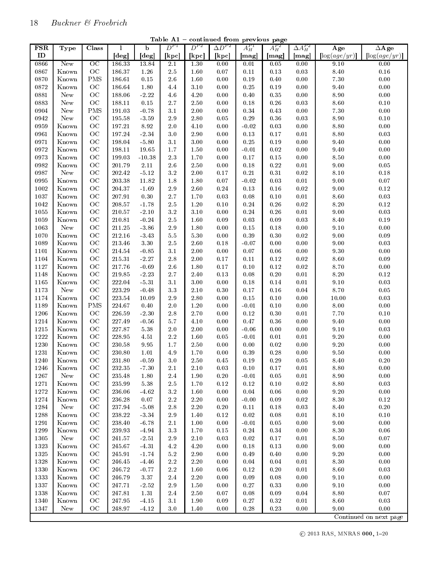| <b>FSR</b> | Type  | Class           | 1          | b                   | $D^{P1}$         | $D^{P2}$ | $\overline{\Delta D^{P2}}$ | $A_H^{P1}$ | $A^{P2}_H$ | $\Delta A_H^{P2}$ | Age                 | $\Delta$ Age   |
|------------|-------|-----------------|------------|---------------------|------------------|----------|----------------------------|------------|------------|-------------------|---------------------|----------------|
| ID         |       |                 | [deg]      | [deg]               | [kpc]            | [kpc]    | [kpc]                      | [mag]      | [mag]      | [mag]             | $\log(age/yr)$      | $\log(age/yr)$ |
| 0866       | New   | $\overline{OC}$ | 186.33     | 13.84               | $\overline{2.1}$ | 1.30     | 0.00                       | 0.01       | 0.05       | 0.00              | 9.10                | 0.00           |
| 0867       | Known | OC              | 186.37     | 1.26                | $2.5\,$          | 1.60     | $0.07\,$                   | $0.11\,$   | $0.13\,$   | 0.03              | $8.40\,$            | $0.16\,$       |
| 0870       | Known | <b>PMS</b>      | 186.61     | $0.15\,$            | 2.6              | 1.60     | $0.00\,$                   | 0.19       | $0.40\,$   | $0.00\,$          | $7.30\,$            | $0.00\,$       |
| 0872       | Known | OC              | 186.64     | 1.80                | 4.4              | $3.10\,$ | 0.00                       | 0.25       | 0.19       | 0.00              | $9.40\,$            | 0.00           |
| 0881       | New   | OC              | 188.06     | $-2.22$             | 4.6              | 4.20     | 0.00                       | 0.40       | 0.35       | 0.00              | $8.90\,$            | 0.00           |
| 0883       | New   | OC              | 188.11     | $0.15\,$            | 2.7              | $2.50\,$ | $0.00\,$                   | 0.18       | $0.26\,$   | 0.03              | $8.60\,$            | $0.10\,$       |
| 0904       | New   | PMS             | 191.03     | $-0.78$             | 3.1              | $2.00\,$ | 0.00                       | 0.34       | 0.43       | $0.00\,$          | $7.30\,$            | 0.00           |
| 0942       | New   | OC              | 195.58     | $-3.59$             | 2.9              | $2.80\,$ | 0.05                       | 0.29       | $0.36\,$   | 0.03              | $8.90\,$            | $0.10\,$       |
| 0959       | Known | OC              | 197.21     | $8.92\,$            | 2.0              | $4.10\,$ | $0.00\,$                   | $-0.02$    | 0.03       | $0.00\,$          | $8.80\,$            | $0.00\,$       |
| 0961       | Known | OC              | 197.24     | $\hbox{-}2.34$      | 3.0              | $2.90\,$ | 0.00                       | 0.13       | 0.17       | 0.01              | $8.80\,$            | 0.03           |
| 0971       | Known | OC              | 198.04     | $-5.80$             | 3.1              | 3.00     | 0.00                       | 0.25       | 0.19       | 0.00              | $9\ 40$             | 0.00           |
| 0972       | Known | OC              | 198.11     | 19.65               | $1.7\,$          | $1.50\,$ | $0.00\,$                   | $-0.01$    | $0.02\,$   | $0.00\,$          | $9\ 40$             | $0.00\,$       |
| 0973       | Known | OC              | 199.03     | $-10.38$            | $2.3\,$          | 1.70     | 0.00                       | 0.17       | $0.15\,$   | $0.00\,$          | $8.50\,$            | 0.00           |
| 0982       | Known | OC              | 201.79     | $2.11\,$            | $2.6\,$          | $2.50\,$ | $0.00\,$                   | 0.18       | $0.22\,$   | 0.01              | $9.00\,$            | $0.05\,$       |
| 0987       | New   | OC              | 202.42     | $\mbox{-}5.12$      | 3.2              | $2.00\,$ | 0.17                       | $0.21\,$   | $0.31\,$   | $0.02\,$          | $8.10\,$            | $0.18\,$       |
| 0995       | Known | OC              | 203.38     | $11.82\,$           | 1.8              | 1.80     | $0.07\,$                   | $-0.02$    | 0.03       | $0.01\,$          | 9.00                | $0.07\,$       |
| 1002       | Known | OC              | 204.37     | $-1.69$             | $2.9\,$          | 2.60     | 0.24                       | 0.13       | 0.16       | $0.02\,$          | $9.00\,$            | $0.12\,$       |
| 1037       | Known | OC              | 207.91     | 0.30                | 2.7              | 1.70     | 0.03                       | 0.08       | $0.10\,$   | $0.01\,$          | $8.60\,$            | $\rm 0.03$     |
| 1042       | Known | OC              | 208.57     | $-1.78$             | $2.5\,$          | $1.20\,$ | 0.10                       | 0.24       | $0.26\,$   | $0.02\,$          | $8.20\,$            | $0.12\,$       |
| 1055       | Known | OC              | 210.57     | $-2.10$             | $3.2\,$          | 3.10     | 0.00                       | 0.24       | 0.26       | 0.01              | $9.00\,$            | $\rm 0.03$     |
| 1059       | Known | OC              | 210.81     | $-0.24$             | $2.5\,$          | 1.60     | 0.09                       | 0.03       | 0.09       | 0.03              | $8.40\,$            | $0.19\,$       |
| 1063       | New   | OC              | 211.25     | $-3.86$             | $2.9\,$          | 1.80     | 0.00                       | $0.15\,$   | 0.18       | 0.00              | $9.10\,$            | 0.00           |
| 1070       | Known | OC              | 212.16     | $-3.43$             | 5.5              | 5.30     | $0.00\,$                   | 0.39       | $0.30\,$   | $0.02\,$          | $9.00\,$            | 0.09           |
| 1089       | Known | OC              | 213.46     | $3.30\,$            | $2.5\,$          | $2.60\,$ | 0.18                       | $-0.07$    | $0.00\,$   | $0.00\,$          | $9.00\,$            | 0.03           |
| 1101       | Known | OC              | 214.54     | $-0.85$             | 3.1              | $2.00\,$ | 0.00                       | 0.07       | 0.06       | $0.00\,$          | $\boldsymbol{9.30}$ | $0.00\,$       |
| 1104       | Known | OC              | 215.31     | $-2.27$             | 2.8              | $2.00\,$ | 0.17                       | 0.11       | 0.12       | $0.02\,$          | $8.60\,$            | 0.09           |
| 1127       | Known | OC              | 217.76     | $-0.69$             | 2.6              | 1.80     | 0.17                       | $0.10\,$   | $0.12\,$   | $0.02\,$          | $8.70\,$            | $0.00\,$       |
| 1148       | Known | OC              | 219.85     | $-2.23$             | 2.7              | 2.40     | 0.13                       | 0.08       | $0.20\,$   | 0.01              | $8.20\,$            | $0.12\,$       |
| 1165       | Known | OC              | 222.04     | $-5.31$             | 3.1              | $3.00\,$ | $0.00\,$                   | 0.18       | 0.14       | 0.01              | $9.10\,$            | $\rm 0.03$     |
| 1173       | New   | OC              | 223.29     | $-0.48$             | 3.3              | $2.10\,$ | 0.30                       | 0.17       | 0.16       | 0.04              | $8.70\,$            | $0.05\,$       |
| 1174       | Known | OC              | 223.54     | 10.09               | 2.9              | $2.80\,$ | 0.00                       | 0.15       | $0.10\,$   | $0.00\,$          | 10.00               | 0.03           |
| 1189       | Known | <b>PMS</b>      | 224.67     | 0.40                | 2.0              | $1.20\,$ | $0.00\,$                   | $-0.01$    | $0.10\,$   | $0.00\,$          | $8\!\cdot\!00$      | $0.00\,$       |
| 1206       | Known | OC              | 226.59     | $-2.30$             | $2.8\,$          | $2.70\,$ | 0.00                       | $0.12\,$   | 0.30       | 0.01              | $7.70\,$            | $0.10\,$       |
| 1214       | Known | OC              | 227.49     | $-0.56$             | 5.7              | 4.10     | 0.00                       | 0.47       | $0.36\,$   | 0.00              | $\boldsymbol{9.40}$ | 0.00           |
| 1215       | Known | OC              | 227.87     | $5.38\,$            | $2.0\,$          | $2.00\,$ | $0.00\,$                   | $-0.06$    | $0.00\,$   | $0.00\,$          | $9.10\,$            | $0.03\,$       |
| 1222       | Known | OC              | 228.95     | $4.51\,$            | $2.2\,$          | 1.60     | 0.05                       | $-0.01$    | $0.01\,$   | 0.01              | $9.20\,$            | 0.00           |
| 1230       | Known | OC              | 230.58     | $\boldsymbol{9.95}$ | 1.7              | $2.50\,$ | 0.00                       | $0.00\,$   | $0.02\,$   | $0.00\,$          | $9.20\,$            | 0.00           |
| 1231       | Known | OC              | 230.80     | $1.01\,$            | 4.9              | 1.70     | $0.00\,$                   | 0.39       | $0.28\,$   | 0.00              | $9.50\,$            | 0.00           |
| 1240       | Known | OC              | 231.80     | $-0.59$             | $3.0\,$          | 2.50     | 0.45                       | 0.19       | 0.29       | $0.05\,$          | 8.40                | 0.20           |
| 1246       | Known | OC              | $232.35\,$ | $-7.30$             | $2.1\,$          | 2.10     | 0.03                       | 0.10       | $0.17\,$   | 0.01              | $8.80\,$            | 0.00           |
| 1267       | New   | OC              | $235.48\,$ | 1.80                | $2.4\,$          | 1.90     | $0.20\,$                   | $-0.01$    | 0.05       | 0.01              | $8.90\,$            | $0.00\,$       |
| 1271       | Known | $_{\rm OC}$     | 235.99     | $5.38\,$            | $2.5\,$          | 1.70     | $0.12\,$                   | $0.12\,$   | 0.10       | 0.02              | $8.80\,$            | $0.03\,$       |
| $1272\,$   | Known | OC              | 236.06     | $-4.62$             | $3.2\,$          | 1.60     | $0.00\,$                   | 0.04       | $0.06\,$   | 0.00              | $9.20\,$            | $0.00\,$       |
| 1274       | Known | OС              | 236.28     | 0.07                | $2.2\,$          | 2.20     | $0.00\,$                   | $-0.00$    | 0.09       | 0.02              | $8.30\,$            | $0.12\,$       |
| 1284       | New   | OC              | 237.94     | $-5.08$             | $2.8\,$          | 2.20     | $0.20\,$                   | $0.11\,$   | 0.18       | 0.03              | $8.40\,$            | $0.20\,$       |
| $1288\,$   | Known | OC              | $238.22\,$ | $-3.34$             | $2.9\,$          | 1.40     | $0.12\,$                   | $0.02\,$   | $0.08\,$   | 0.01              | $8.10\,$            | 0.10           |
| 1291       | Known | OC              | 238.40     | $-6.78$             | $2.1\,$          | 1.00     | $0.00\,$                   | $-0.01$    | $0.05\,$   | 0.00              | $9\!\cdot\!00$      | $0.00\,$       |
| 1299       | Known | OC              | 239.93     | $-4.94$             | $3.3\,$          | 1.70     | 0.15                       | 0.24       | 0.34       | 0.00              | $8.30\,$            | 0.06           |
| 1305       | New   | OC              | 241.57     | $-2.51$             | $2.9\,$          | 2.10     | 0.03                       | $0.02\,$   | 0.17       | 0.01              | $8.50\,$            | $0.07\,$       |
| 1323       | Known | OC              | 245.67     | $-4.31$             | $4.2\,$          | 4.20     | 0.00                       | 0.18       | 0.13       | 0.00              | $9.00\,$            | 0.00           |
| $1325\,$   | Known | OC              | 245.91     | $-1.74$             | $5.2\,$          | 2.90     | 0.00                       | 0.49       | $0.40\,$   | 0.00              | $9.20\,$            | 0.00           |
| 1328       | Known | OC              | $246.45\,$ | $-4.46$             | $2.2\,$          | $2.20\,$ | $0.00\,$                   | $0.04\,$   | $0.04\,$   | 0.01              | $8\, .30$           | $0.00\,$       |
| 1330       | Known | OC              | 246.72     | $-0.77$             | $2.2\,$          | 1.60     | 0.06                       | $0.12\,$   | $0.20\,$   | 0.01              | $8.60\,$            | $0.03\,$       |
| 1333       | Known | OC              | 246.79     | $3.37\,$            | $2.4\,$          | $2.20\,$ | $0.00\,$                   | 0.09       | 0.08       | 0.00              | $9.10\,$            | $0.00\,$       |
| 1337       | Known | OC              | 247.71     | $-2.52$             | $2.9\,$          | 1.50     | 0.00                       | $0.27\,$   | 0.33       | $0.00\,$          | $9.10\,$            | $0.00\,$       |
| 1338       | Known | OC              | 247.81     | 1.31                | 2.4              | 2.50     | $0.07\,$                   | 0.08       | 0.09       | 0.04              | $8.80\,$            | $0.07\,$       |
| 1340       | Known | OC              | 247.95     | $-4.15$             | $3.1\,$          | 1.90     | 0.09                       | $0.27\,$   | 0.32       | 0.01              | $8.60\,$            | 0.03           |
| 1347       | New   | OC              | 248.97     | $-4.12$             | $3.0\,$          | 1.40     | $0.00\,$                   | 0.28       | 0.23       | $0.00\,$          | 9.00                | $0.00\,$       |
|            |       |                 |            |                     |                  |          |                            |            |            |                   |                     |                |

Table  $A1$  – continued from previous page

 $\odot$  2013 RAS, MNRAS 000, 1–20

Continued on next page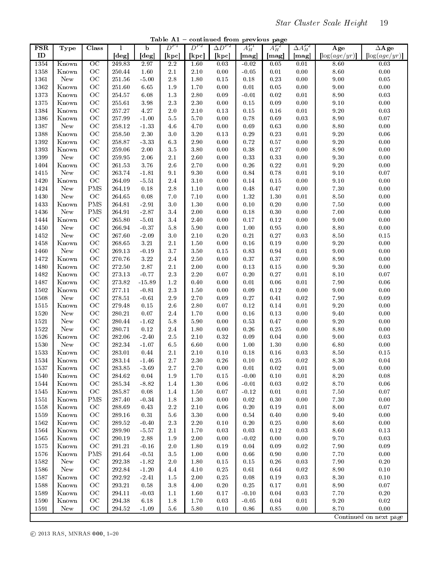Table  $A1$  – continued from previous page

| <b>FSR</b>    | Type                   | Class           | 1          | b        | $D^{P1}$ | $D^{P2}$ | $\Delta D^{P2}$ | $A_H^{P1}$ | $A_H^{P2}$ | $\Delta A^{P2}_H$ | Age            | $\Delta$ Age                   |
|---------------|------------------------|-----------------|------------|----------|----------|----------|-----------------|------------|------------|-------------------|----------------|--------------------------------|
| $\mathbf{ID}$ |                        |                 | [deg]      | [deg]    | [kpc]    | [kpc]    | [kpc]           | [mag]      | [mag]      | [mag]             | $\log(age/yr)$ | $\left[ \log (age/yr) \right]$ |
| 1354          | Known                  | $\overline{OC}$ | 249.83     | 2.97     | $2.2\,$  | 1.60     | 0.03            | $-0.02$    | 0.05       | 0.01              | 8.60           | 0.03                           |
| 1358          | Known                  | OC              | 250.44     | 1.60     | $2.1\,$  | $2.10\,$ | 0.00            | $-0.05$    | 0.01       | $0.00\,$          | $8.60\,$       | $0.00\,$                       |
| 1361          | New                    | OC              | 251.56     | $-5.00$  | $2.8\,$  | $1.80\,$ | $0.15\,$        | 0.18       | 0.23       | 0.00              | $9.00\,$       | $\rm 0.05$                     |
| 1362          | $\operatorname{Known}$ | OC              | 251.60     | 6.65     | 1.9      | 1.70     | $0.00\,$        | 0.01       | $0.05\,$   | 0.00              | $9.00\,$       | $0.00\,$                       |
| 1373          | Known                  | OC              | 254.57     | 6.08     | $1.3\,$  | $2.80\,$ | 0.09            | $-0.01$    | 0.02       | 0.01              | $8.90\,$       | $0.03\,$                       |
| 1375          | Known                  | OC              | 255.61     | 3.98     | $2.3\,$  | $2.30\,$ | $0.00\,$        | $0.15\,$   | 0.09       | 0.00              | $9.10\,$       | $0.00\,$                       |
| 1384          | Known                  | OC              | 257.27     | 4.27     | 2.0      | 2.10     | 0.13            | 0.15       | $0.16\,$   | $0.01\,$          | $9.20\,$       | $\rm 0.03$                     |
| 1386          | Known                  | OC              | 257.99     | $-1.00$  | $5.5\,$  | 5.70     | 0.00            | 0.78       | 0.69       | 0.03              | $8.90\,$       | $0.07\,$                       |
| 1387          | New                    | OC              | 258.12     | $-1.33$  | 4.6      | 4.70     | $0.00\,$        | 0.69       | 0.63       | 0.00              | $8.80\,$       | $0.00\,$                       |
| 1388          | Known                  | OC              | 258.50     | 2.30     | 3.0      | $3.20\,$ | 0.13            | $0.29\,$   | 0.23       | 0.01              | $9.20\,$       | 0.06                           |
| 1392          | Known                  | OC              | 258.87     | $-3.33$  | $6.3\,$  | 2.90     | 0.00            | 0.72       | 0.57       | 0.00              | $9.20\,$       | 0.00                           |
| 1393          | Known                  | OC              | 259.06     | $2.00\,$ | 3.5      | $3.80\,$ | $0.00\,$        | 0.38       | $0.27\,$   | 0.00              | $8.90\,$       | $0.00\,$                       |
| 1399          | New                    | OC              | 259.95     | $2.06\,$ | 2.1      | $2.60\,$ | 0.00            | 0.33       | 0.33       | 0.00              | $9.30\,$       | $0.00\,$                       |
| 1404          | Known                  | OC              | 261.53     | $3.76\,$ | $2.6\,$  | 2.70     | 0.00            | 0.26       | 0.22       | 0.01              | $9.20\,$       | 0.00                           |
| 1415          | New                    | OC              | 263.74     | $-1.81$  | 9.1      | 9.30     | $0.00\,$        | $\rm 0.84$ | 0.78       | $0.01\,$          | $9.10\,$       | $0.07\,$                       |
| 1420          | Known                  | OC              | 264.09     | $-5.51$  | $2.4\,$  | 3.10     | 0.00            | 0.14       | 0.15       | 0.00              | $9.10\,$       | 0.00                           |
| 1424          | New                    | <b>PMS</b>      | 264.19     | 0.18     | 2.8      | $1.10$   | 0.00            | 0.48       | 0.47       | 0.00              | $7.30\,$       | 0.00                           |
| 1430          | New                    | OC              | 264.65     | 0.08     | $7.0\,$  | $7.10\,$ | $0.00\,$        | 1.32       | $1.30\,$   | 0.01              | $8.50\,$       | $0.00\,$                       |
| 1433          | Known                  | <b>PMS</b>      | 264.81     | $-2.91$  | $3.0\,$  | $1.30\,$ | 0.00            | 0.10       | $0.20\,$   | 0.00              | $7.50\,$       | $0.00\,$                       |
| 1436          | New                    | <b>PMS</b>      | 264.91     | $-2.87$  | 3.4      | $2.00\,$ | 0.00            | 0.18       | 0.30       | 0.00              | $7.00\,$       | $0.00\,$                       |
| 1444          | Known                  | OC              | 265.80     | $-5.01$  | 3.4      | 2.40     | $0.00\,$        | 0.17       | 0.12       | 0.00              | $9\!\cdot\!00$ | $0.00\,$                       |
| 1450          | New                    | OC              | 266.94     | $-0.37$  | $5.8\,$  | $5.90\,$ | 0.00            | 1.00       | 0.95       | 0.00              | $8.80\,$       | $0.00\,$                       |
| 1452          | New                    | OC              | 267.60     | $-2.09$  | $3.0\,$  | $2.10\,$ | $0.20\,$        | 0.21       | $0.27\,$   | 0.03              | $8.50\,$       | $0.15\,$                       |
| 1458          | Known                  | OC              | 268.65     | $3.21\,$ | $2.1\,$  | $1.50\,$ | $0.00\,$        | 0.16       | 0.19       | 0.00              | $9.20\,$       | $0.00\,$                       |
| 1460          | New                    | OC              | 269.13     | $-0.19$  | $3.7\,$  | $3.50\,$ | $0.15\,$        | 0.83       | 0.94       | 0.01              | $9.00\,$       | $0.00\,$                       |
| 1472          | Known                  | OC              | 270.76     | $3.22\,$ | $2.4\,$  | $2.50\,$ | $0.00\,$        | 0.37       | 0.37       | 0.00              | $8.90\,$       | $0.00\,$                       |
| 1480          | Known                  | OC              | 272.50     | $2.87\,$ | $2.1\,$  | $2.00\,$ | 0.00            | 0.13       | $0.15\,$   | $0.00\,$          | $9.30\,$       | $0.00\,$                       |
| 1482          | Known                  | OC              | 273.13     | $-0.77$  | $2.3\,$  | $2.20\,$ | $0.07\,$        | 0.20       | $0.27\,$   | 0.01              | $8.10\,$       | $0.07\,$                       |
| 1487          | Known                  | OC              | 273.82     | $-15.89$ | $1.2\,$  | 0.40     | $0.00\,$        | $0.01\,$   | 0.06       | 0.01              | $7.90\,$       | $0.06\,$                       |
| 1502          | Known                  | OC              | 277.11     | $-0.81$  | $2.3\,$  | 1.50     | 0.00            | 0.09       | 0.12       | 0.00              | $9.00\,$       | 0.00                           |
| 1508          | New                    | OC              | 278.51     | $-0.61$  | $2.9\,$  | 2.70     | 0.09            | 0.27       | $0.41\,$   | $0.02\,$          | $7.90\,$       | $0.09\,$                       |
| 1515          | Known                  | OC              | 279.48     | $0.15\,$ | 2.6      | 2.80     | $0.07\,$        | 0.12       | 0.14       | 0.01              | $9.20\,$       | $0.00\,$                       |
| 1520          | New                    | OC              | 280.21     | $0.07\,$ | 2.4      | 1.70     | $0.00\,$        | 0.16       | 0.13       | 0.00              | $9.40\,$       | 0.00                           |
| 1521          | New                    | OC              | 280.44     | $-1.62$  | $5.8\,$  | $5.90\,$ | 0.00            | 0.53       | 0.47       | 0.00              | $9.20\,$       | 0.00                           |
| 1522          | New                    | OC              | 280.71     | $0.12\,$ | $2.4\,$  | $1.80\,$ | $0.00\,$        | $0.26\,$   | 0.25       | 0.00              | $8.80\,$       | $0.00\,$                       |
| 1526          | Known                  | OC              | 282.06     | $-2.40$  | $2.5\,$  | $2.10\,$ | 0.32            | 0.09       | 0.04       | 0.00              | $9\!\cdot\!00$ | $0.03\,$                       |
| 1530          | New                    | OC              | 282.34     | $-1.07$  | 6.5      | 6.60     | $0.00\,$        | 1.00       | $1.30\,$   | 0.00              | $6.80\,$       | $0.00\,$                       |
| 1533          | Known                  | OC              | 283.01     | 0.44     | $2.1\,$  | $2.10\,$ | $0.10\,$        | 0.18       | $0.16\,$   | 0.03              | $8.50\,$       | $0.15\,$                       |
| 1534          | Known                  | OC              | 283.14     | $-1.46$  | 2.7      | 2.30     | 0.26            | 0.10       | 0.25       | 0.02              | $8.30\,$       | $0.04\,$                       |
| 1537          | Known                  | OC              | 283.85     | $-3.69$  | $2.7\,$  | 2.70     | 0.00            | 0.01       | 0.02       | 0.01              | $9.00\,$       | $0.00\,$                       |
| 1540          | Known                  | OC              | $284.62\,$ | $0.04\,$ | 1.9      | $1.70\,$ | $0.15\,$        | $-0.00$    | 0.10       | 0.01              | $8.20\,$       | $0.08\,$                       |
| 1544          | Known                  | OC              | 285.34     | $-8.82$  | 1.4      | $1.30\,$ | $0.06\,$        | $-0.01$    | 0.03       | 0.02              | 8.70           | $0.06\,$                       |
| 1545          | Known                  | OC              | 285.87     | 0.08     | 1.4      | 1.50     | $0.07\,$        | $-0.12$    | $0.01\,$   | 0.01              | $7.50\,$       | $0.07\,$                       |
| 1551          | Known                  | <b>PMS</b>      | 287.40     | $-0.34$  | $1.8\,$  | $1.30\,$ | 0.00            | $0.02\,$   | 0.30       | $0.00\,$          | $7.30\,$       | $0.00\,$                       |
| 1558          | Known                  | OC              | 288.69     | 0.43     | $2.2\,$  | $2.10\,$ | 0.06            | $0.20\,$   | 0.19       | 0.01              | $8.00\,$       | 0.07                           |
| 1559          | Known                  | OC              | 289.16     | 0.31     | $5.6\,$  | $3.30\,$ | $0.00\,$        | $\rm 0.54$ | $0.40\,$   | 0.00              | $9.40\,$       | $0.00\,$                       |
| 1562          | Known                  | OC              | 289.52     | $-0.40$  | $2.3\,$  | $2.20\,$ | $0.10\,$        | $0.20\,$   | $0.25\,$   | 0.00              | $8.60\,$       | $0.00\,$                       |
| 1564          | Known                  | OC              | 289.90     | $-5.57$  | 2.1      | 1.70     | 0.03            | 0.03       | 0.12       | 0.03              | $8.60\,$       | $0.13\,$                       |
| 1565          | Known                  | OC              | 290.19     | $2.88\,$ | $1.9\,$  | 2.00     | 0.00            | $-0.02$    | 0.00       | $0.00\,$          | 9.70           | 0.03                           |
| 1575          | Known                  | $_{\rm OC}$     | 291.21     | $-0.16$  | $2.0\,$  | 1.80     | 0.19            | 0.04       | 0.09       | 0.02              | 7.90           | 0.09                           |
| 1576          | Known                  | <b>PMS</b>      | 291.64     | $-0.51$  | $3.5\,$  | 1.00     | 0.00            | $0.66\,$   | 0.90       | 0.00              | 7.70           | 0.00                           |
| 1582          | New                    | OC              | 292.38     | $-1.82$  | $2.0\,$  | $1.80\,$ | $0.15\,$        | $0.15\,$   | $0.26\,$   | 0.03              | 7.90           | $0.20\,$                       |
| 1586          | New                    | OC              | 292.84     | $-1.20$  | 4.4      | $4.10\,$ | $0.25\,$        | $0.61\,$   | 0.64       | 0.02              | $8.90\,$       | $0.10\,$                       |
| 1587          | Known                  | OC              | 292.92     | $-2.41$  | 1.5      | 2.00     | 0.25            | 0.08       | $0.19\,$   | 0.03              | $8.30\,$       | $0.10\,$                       |
| 1588          | Known                  | OC              | 293.21     | 0.58     | $3.8\,$  | 4.00     | $0.20\,$        | 0.25       | $0.17\,$   | $0.01\,$          | 8.90           | $0.07\,$                       |
| 1589          | Known                  | OC              | 294.11     | $-0.03$  | 1.1      | 1.60     | $0.17\,$        | $-0.10$    | 0.04       | 0.03              | 7.70           | $0.20\,$                       |
| 1590          | Known                  | OC              | 294.38     | 6.18     | $1.8\,$  | 1.70     | 0.03            | $-0.05$    | 0.04       | 0.01              | $9.20\,$       | 0.02                           |
| 1591          | New                    | OC              | 294.52     | $-1.09$  | $5.6\,$  | 5.80     | $0.10\,$        | $0.86\,$   | 0.85       | 0.00              | 8.70           | $0.00\,$                       |
|               |                        |                 |            |          |          |          |                 |            |            |                   |                | Continued on next page         |